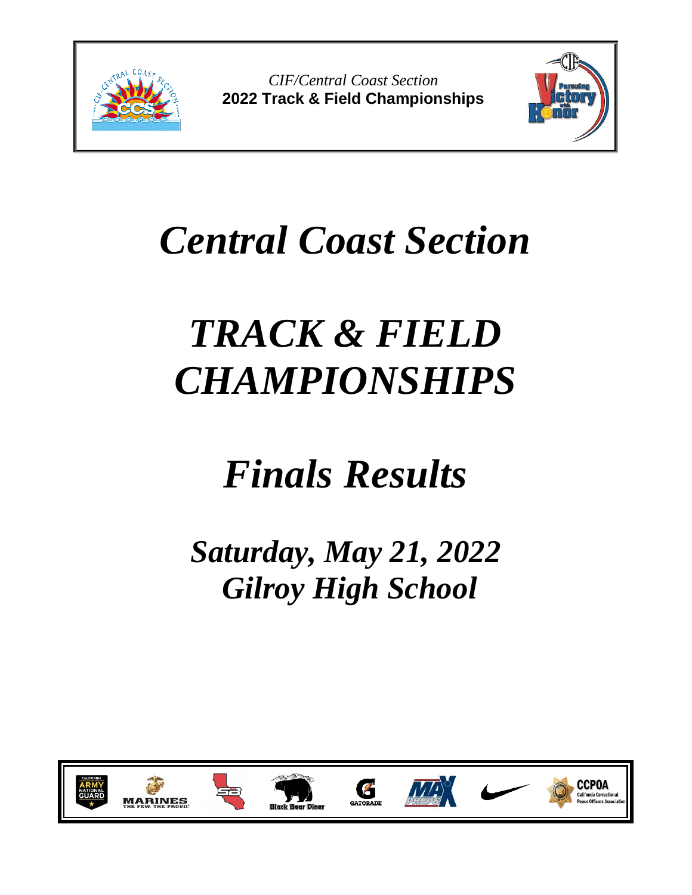

*CIF/Central Coast Section* **2022 Track & Field Championships**



## *Central Coast Section*

# *TRACK & FIELD CHAMPIONSHIPS*

## *Finals Results*

*Saturday, May 21, 2022 Gilroy High School*

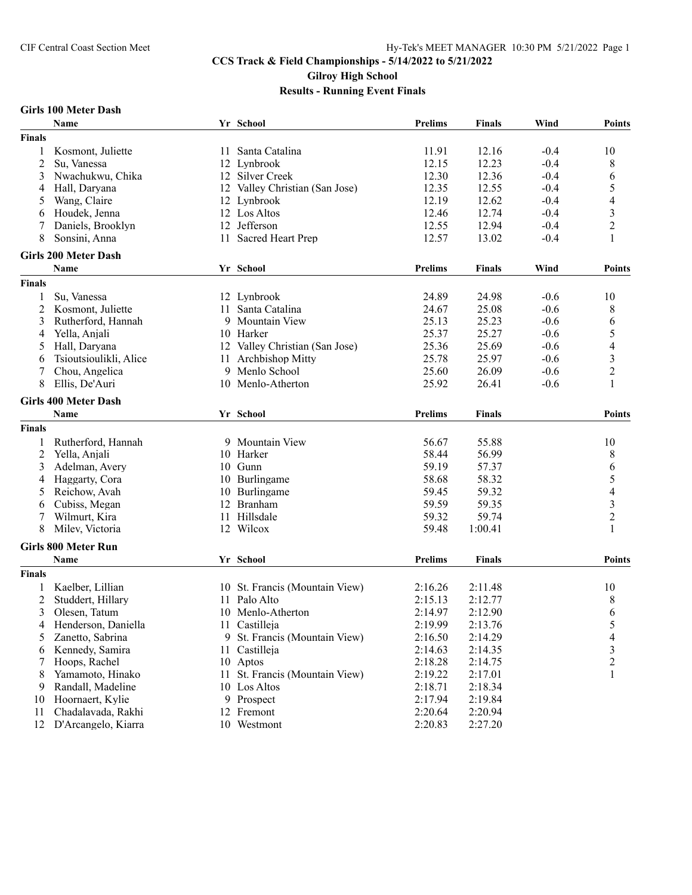### **Girls 100 Meter Dash**

|                | Name                        |      | Yr School                      | <b>Prelims</b> | <b>Finals</b> | Wind   | <b>Points</b>            |
|----------------|-----------------------------|------|--------------------------------|----------------|---------------|--------|--------------------------|
| <b>Finals</b>  |                             |      |                                |                |               |        |                          |
| 1              | Kosmont, Juliette           | 11   | Santa Catalina                 | 11.91          | 12.16         | $-0.4$ | 10                       |
| $\overline{c}$ | Su, Vanessa                 |      | 12 Lynbrook                    | 12.15          | 12.23         | $-0.4$ | 8                        |
| 3              | Nwachukwu, Chika            |      | 12 Silver Creek                | 12.30          | 12.36         | $-0.4$ | 6                        |
| 4              | Hall, Daryana               |      | 12 Valley Christian (San Jose) | 12.35          | 12.55         | $-0.4$ | 5                        |
| 5              | Wang, Claire                |      | 12 Lynbrook                    | 12.19          | 12.62         | $-0.4$ | 4                        |
| 6              | Houdek, Jenna               |      | 12 Los Altos                   | 12.46          | 12.74         | $-0.4$ | $\mathfrak{Z}$           |
|                | Daniels, Brooklyn           |      | 12 Jefferson                   | 12.55          | 12.94         | $-0.4$ | $\overline{c}$           |
| 8              | Sonsini, Anna               |      | 11 Sacred Heart Prep           | 12.57          | 13.02         | $-0.4$ | 1                        |
|                |                             |      |                                |                |               |        |                          |
|                | <b>Girls 200 Meter Dash</b> |      |                                |                |               |        |                          |
|                | Name                        |      | Yr School                      | <b>Prelims</b> | <b>Finals</b> | Wind   | <b>Points</b>            |
| <b>Finals</b>  |                             |      |                                |                |               |        |                          |
| 1              | Su, Vanessa                 |      | 12 Lynbrook                    | 24.89          | 24.98         | $-0.6$ | 10                       |
| 2              | Kosmont, Juliette           | 11   | Santa Catalina                 | 24.67          | 25.08         | $-0.6$ | 8                        |
| 3              | Rutherford, Hannah          |      | 9 Mountain View                | 25.13          | 25.23         | $-0.6$ | 6                        |
| 4              | Yella, Anjali               |      | 10 Harker                      | 25.37          | 25.27         | $-0.6$ | 5                        |
| 5              | Hall, Daryana               |      | 12 Valley Christian (San Jose) | 25.36          | 25.69         | $-0.6$ | 4                        |
| 6              | Tsioutsioulikli, Alice      | 11   | Archbishop Mitty               | 25.78          | 25.97         | $-0.6$ | 3                        |
|                | Chou, Angelica              |      | 9 Menlo School                 | 25.60          | 26.09         | $-0.6$ | $\overline{c}$           |
| 8              | Ellis, De'Auri              |      | 10 Menlo-Atherton              | 25.92          | 26.41         | $-0.6$ | 1                        |
|                | <b>Girls 400 Meter Dash</b> |      |                                |                |               |        |                          |
|                | Name                        |      | Yr School                      | <b>Prelims</b> | <b>Finals</b> |        | <b>Points</b>            |
|                |                             |      |                                |                |               |        |                          |
| <b>Finals</b>  |                             |      |                                |                |               |        |                          |
| 1              | Rutherford, Hannah          |      | 9 Mountain View                | 56.67          | 55.88         |        | 10                       |
| 2              | Yella, Anjali               |      | 10 Harker                      | 58.44          | 56.99         |        | 8                        |
| 3              | Adelman, Avery              |      | 10 Gunn                        | 59.19          | 57.37         |        | 6                        |
| 4              | Haggarty, Cora              |      | 10 Burlingame                  | 58.68          | 58.32         |        | 5                        |
| 5              | Reichow, Avah               |      | 10 Burlingame                  | 59.45          | 59.32         |        | $\overline{\mathcal{L}}$ |
| 6              | Cubiss, Megan               |      | 12 Branham                     | 59.59          | 59.35         |        | $\overline{\mathbf{3}}$  |
|                | Wilmurt, Kira               |      | 11 Hillsdale                   | 59.32          | 59.74         |        | $\boldsymbol{2}$         |
| 8              | Milev, Victoria             |      | 12 Wilcox                      | 59.48          | 1:00.41       |        | 1                        |
|                | <b>Girls 800 Meter Run</b>  |      |                                |                |               |        |                          |
|                | Name                        |      | Yr School                      | <b>Prelims</b> | <b>Finals</b> |        | <b>Points</b>            |
| <b>Finals</b>  |                             |      |                                |                |               |        |                          |
|                | Kaelber, Lillian            |      | 10 St. Francis (Mountain View) | 2:16.26        | 2:11.48       |        | 10                       |
| 2              | Studdert, Hillary           |      | 11 Palo Alto                   | 2:15.13        | 2:12.77       |        | 8                        |
|                | Olesen, Tatum               |      |                                |                |               |        |                          |
| 3              |                             |      | 10 Menlo-Atherton              | 2:14.97        | 2:12.90       |        | 6                        |
|                | 4 Henderson, Daniella       |      | 11 Castilleja                  | 2:19.99        | 2:13.76       |        | 5                        |
| 5              | Zanetto, Sabrina            |      | 9 St. Francis (Mountain View)  | 2:16.50        | 2:14.29       |        | 4                        |
| 6              | Kennedy, Samira             |      | 11 Castilleja                  | 2:14.63        | 2:14.35       |        | 3                        |
|                | Hoops, Rachel               |      | 10 Aptos                       | 2:18.28        | 2:14.75       |        | 2                        |
| 8              | Yamamoto, Hinako            | 11 - | St. Francis (Mountain View)    | 2:19.22        | 2:17.01       |        | 1                        |
| 9              | Randall, Madeline           |      | 10 Los Altos                   | 2:18.71        | 2:18.34       |        |                          |
| 10             | Hoornaert, Kylie            |      | 9 Prospect                     | 2:17.94        | 2:19.84       |        |                          |
| 11             | Chadalavada, Rakhi          |      | 12 Fremont                     | 2:20.64        | 2:20.94       |        |                          |
|                | 12 D'Arcangelo, Kiarra      |      | 10 Westmont                    | 2:20.83        | 2:27.20       |        |                          |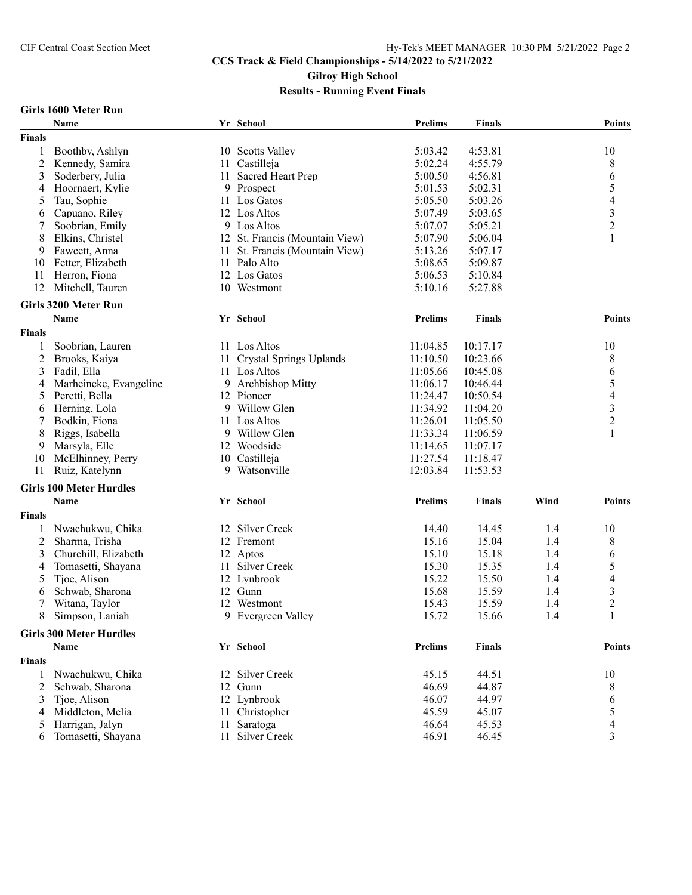#### **CCS Track & Field Championships - 5/14/2022 to 5/21/2022 Gilroy High School**

**Results - Running Event Finals**

#### **Girls 1600 Meter Run**

|                | Name                           |      | Yr School                      | <b>Prelims</b> | <b>Finals</b> |      | <b>Points</b>            |
|----------------|--------------------------------|------|--------------------------------|----------------|---------------|------|--------------------------|
| <b>Finals</b>  |                                |      |                                |                |               |      |                          |
| 1              | Boothby, Ashlyn                |      | 10 Scotts Valley               | 5:03.42        | 4:53.81       |      | 10                       |
| $\overline{2}$ | Kennedy, Samira                | 11   | Castilleja                     | 5:02.24        | 4:55.79       |      | 8                        |
| 3              | Soderbery, Julia               |      | 11 Sacred Heart Prep           | 5:00.50        | 4:56.81       |      | 6                        |
| 4              | Hoornaert, Kylie               |      | 9 Prospect                     | 5:01.53        | 5:02.31       |      | 5                        |
| 5              | Tau, Sophie                    | 11   | Los Gatos                      | 5:05.50        | 5:03.26       |      | $\overline{\mathcal{A}}$ |
| 6              | Capuano, Riley                 |      | 12 Los Altos                   | 5:07.49        | 5:03.65       |      | 3                        |
| 7              | Soobrian, Emily                |      | 9 Los Altos                    | 5:07.07        | 5:05.21       |      | $\overline{c}$           |
| 8              | Elkins, Christel               |      | 12 St. Francis (Mountain View) | 5:07.90        | 5:06.04       |      |                          |
| 9              | Fawcett, Anna                  | 11 - | St. Francis (Mountain View)    | 5:13.26        | 5:07.17       |      |                          |
| 10             | Fetter, Elizabeth              |      | 11 Palo Alto                   | 5:08.65        | 5:09.87       |      |                          |
| 11             | Herron, Fiona                  |      | 12 Los Gatos                   | 5:06.53        | 5:10.84       |      |                          |
| 12             | Mitchell, Tauren               |      | 10 Westmont                    |                |               |      |                          |
|                |                                |      |                                | 5:10.16        | 5:27.88       |      |                          |
|                | Girls 3200 Meter Run           |      |                                |                |               |      |                          |
|                | Name                           |      | Yr School                      | <b>Prelims</b> | <b>Finals</b> |      | <b>Points</b>            |
| <b>Finals</b>  |                                |      |                                |                |               |      |                          |
| 1              | Soobrian, Lauren               |      | 11 Los Altos                   | 11:04.85       | 10:17.17      |      | 10                       |
| $\overline{2}$ | Brooks, Kaiya                  | 11   | <b>Crystal Springs Uplands</b> | 11:10.50       | 10:23.66      |      | 8                        |
| 3              | Fadil, Ella                    | 11   | Los Altos                      | 11:05.66       | 10:45.08      |      | 6                        |
| 4              | Marheineke, Evangeline         | 9.   | Archbishop Mitty               | 11:06.17       | 10:46.44      |      | 5                        |
| 5              | Peretti, Bella                 |      | 12 Pioneer                     | 11:24.47       | 10:50.54      |      | 4                        |
| 6              | Herning, Lola                  | 9    | Willow Glen                    | 11:34.92       | 11:04.20      |      | 3                        |
| 7              | Bodkin, Fiona                  |      | 11 Los Altos                   | 11:26.01       | 11:05.50      |      | $\overline{c}$           |
| 8              | Riggs, Isabella                |      | 9 Willow Glen                  | 11:33.34       | 11:06.59      |      | 1                        |
| 9              | Marsyla, Elle                  |      | 12 Woodside                    | 11:14.65       | 11:07.17      |      |                          |
| 10             | McElhinney, Perry              |      | 10 Castilleja                  | 11:27.54       | 11:18.47      |      |                          |
| 11             | Ruiz, Katelynn                 |      | 9 Watsonville                  | 12:03.84       | 11:53.53      |      |                          |
|                |                                |      |                                |                |               |      |                          |
|                | <b>Girls 100 Meter Hurdles</b> |      |                                |                |               |      |                          |
|                | Name                           |      | Yr School                      | <b>Prelims</b> | <b>Finals</b> | Wind | <b>Points</b>            |
| <b>Finals</b>  |                                |      |                                |                |               |      |                          |
| 1              | Nwachukwu, Chika               |      | 12 Silver Creek                | 14.40          | 14.45         | 1.4  | 10                       |
| $\overline{c}$ | Sharma, Trisha                 |      | 12 Fremont                     | 15.16          | 15.04         | 1.4  | 8                        |
| 3              | Churchill, Elizabeth           |      | 12 Aptos                       | 15.10          | 15.18         | 1.4  | 6                        |
| 4              | Tomasetti, Shayana             | 11   | Silver Creek                   | 15.30          | 15.35         | 1.4  | 5                        |
| 5              | Tjoe, Alison                   |      | 12 Lynbrook                    | 15.22          | 15.50         | 1.4  | 4                        |
| 6              | Schwab, Sharona                |      | 12 Gunn                        | 15.68          | 15.59         | 1.4  | 3                        |
| 7              | Witana, Taylor                 |      | 12 Westmont                    | 15.43          | 15.59         | 1.4  | $\overline{c}$           |
| 8              | Simpson, Laniah                |      | 9 Evergreen Valley             | 15.72          | 15.66         | 1.4  | 1                        |
|                |                                |      |                                |                |               |      |                          |
|                | <b>Girls 300 Meter Hurdles</b> |      |                                |                |               |      |                          |
|                | Name                           |      | Yr School                      | <b>Prelims</b> | <b>Finals</b> |      | <b>Points</b>            |
| <b>Finals</b>  |                                |      |                                |                |               |      |                          |
| 1              | Nwachukwu, Chika               |      | 12 Silver Creek                | 45.15          | 44.51         |      | 10                       |
| 2              | Schwab, Sharona                |      | 12 Gunn                        | 46.69          | 44.87         |      | 8                        |
| 3              | Tjoe, Alison                   |      | 12 Lynbrook                    | 46.07          | 44.97         |      | 6                        |
| 4              | Middleton, Melia               |      | 11 Christopher                 | 45.59          | 45.07         |      | 5                        |
| 5              | Harrigan, Jalyn                | 11   | Saratoga                       | 46.64          | 45.53         |      | 4                        |
| 6              | Tomasetti, Shayana             | 11   | Silver Creek                   | 46.91          | 46.45         |      | 3                        |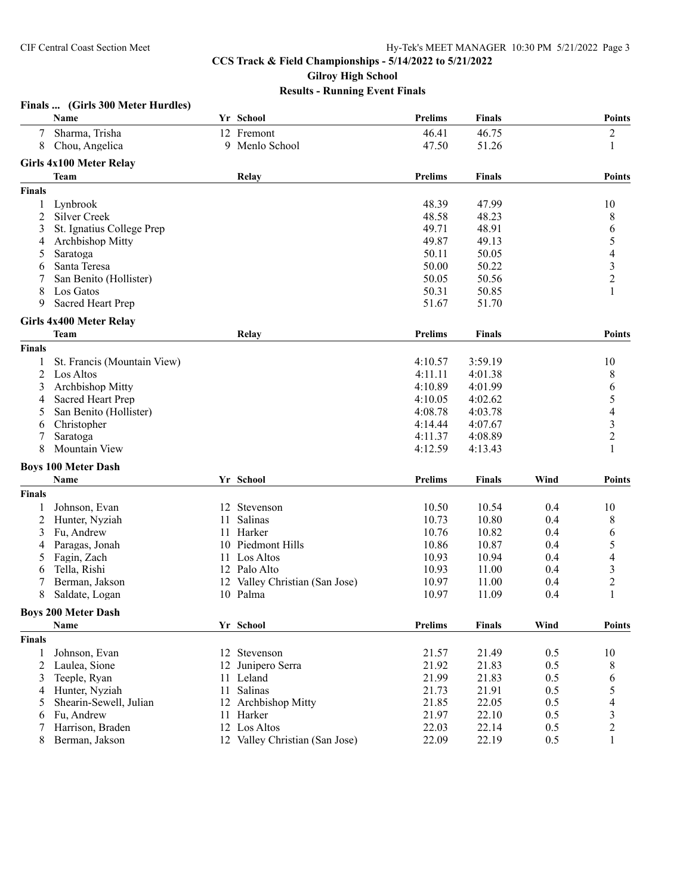## **Finals ... (Girls 300 Meter Hurdles)**

|                | Name                           |    | Yr School                      | <b>Prelims</b> | <b>Finals</b> |      | <b>Points</b>            |
|----------------|--------------------------------|----|--------------------------------|----------------|---------------|------|--------------------------|
| 7              | Sharma, Trisha                 |    | 12 Fremont                     | 46.41          | 46.75         |      | $\overline{c}$           |
| 8              | Chou, Angelica                 |    | 9 Menlo School                 | 47.50          | 51.26         |      | 1                        |
|                | <b>Girls 4x100 Meter Relay</b> |    |                                |                |               |      |                          |
|                | Team                           |    | Relay                          | <b>Prelims</b> | <b>Finals</b> |      | <b>Points</b>            |
|                |                                |    |                                |                |               |      |                          |
| <b>Finals</b>  |                                |    |                                |                |               |      |                          |
| 1              | Lynbrook                       |    |                                | 48.39          | 47.99         |      | 10                       |
| 2              | <b>Silver Creek</b>            |    |                                | 48.58          | 48.23         |      | 8                        |
| 3              | St. Ignatius College Prep      |    |                                | 49.71          | 48.91         |      | 6                        |
| 4              | Archbishop Mitty               |    |                                | 49.87          | 49.13         |      | 5                        |
| 5              | Saratoga                       |    |                                | 50.11          | 50.05         |      | $\overline{\mathcal{A}}$ |
| 6              | Santa Teresa                   |    |                                | 50.00          | 50.22         |      | $\frac{3}{2}$            |
| 7              | San Benito (Hollister)         |    |                                | 50.05          | 50.56         |      |                          |
| 8              | Los Gatos                      |    |                                | 50.31          | 50.85         |      | 1                        |
| 9              | <b>Sacred Heart Prep</b>       |    |                                | 51.67          | 51.70         |      |                          |
|                | <b>Girls 4x400 Meter Relay</b> |    |                                |                |               |      |                          |
|                | Team                           |    | Relay                          | <b>Prelims</b> | <b>Finals</b> |      | Points                   |
| <b>Finals</b>  |                                |    |                                |                |               |      |                          |
| 1              | St. Francis (Mountain View)    |    |                                | 4:10.57        | 3:59.19       |      | 10                       |
| $\overline{2}$ | Los Altos                      |    |                                | 4:11.11        | 4:01.38       |      | 8                        |
| 3              | <b>Archbishop Mitty</b>        |    |                                | 4:10.89        | 4:01.99       |      | 6                        |
| 4              | Sacred Heart Prep              |    |                                | 4:10.05        | 4:02.62       |      | 5                        |
|                | San Benito (Hollister)         |    |                                | 4:08.78        | 4:03.78       |      | $\overline{\mathcal{A}}$ |
| 5              |                                |    |                                |                |               |      |                          |
| 6              | Christopher                    |    |                                | 4:14.44        | 4:07.67       |      | 3                        |
| 7              | Saratoga                       |    |                                | 4:11.37        | 4:08.89       |      | $\overline{c}$           |
| 8              | Mountain View                  |    |                                | 4:12.59        | 4:13.43       |      |                          |
|                | <b>Boys 100 Meter Dash</b>     |    |                                |                |               |      |                          |
|                | Name                           |    | Yr School                      | <b>Prelims</b> | <b>Finals</b> | Wind | Points                   |
| <b>Finals</b>  |                                |    |                                |                |               |      |                          |
| 1              | Johnson, Evan                  |    | 12 Stevenson                   | 10.50          | 10.54         | 0.4  | 10                       |
| $\overline{c}$ | Hunter, Nyziah                 | 11 | Salinas                        | 10.73          | 10.80         | 0.4  | 8                        |
| 3              | Fu, Andrew                     | 11 | Harker                         | 10.76          | 10.82         | 0.4  | 6                        |
| 4              | Paragas, Jonah                 | 10 | Piedmont Hills                 | 10.86          | 10.87         | 0.4  | 5                        |
| 5              | Fagin, Zach                    | 11 | Los Altos                      | 10.93          | 10.94         | 0.4  | 4                        |
| 6              | Tella, Rishi                   |    | 12 Palo Alto                   | 10.93          | 11.00         | 0.4  | 3                        |
| 7              | Berman, Jakson                 |    | 12 Valley Christian (San Jose) | 10.97          | 11.00         | 0.4  | $\overline{2}$           |
| 8              | Saldate, Logan                 |    | 10 Palma                       | 10.97          | 11.09         | 0.4  | 1                        |
|                | <b>Boys 200 Meter Dash</b>     |    |                                |                |               |      |                          |
|                |                                |    |                                |                |               | Wind | Points                   |
|                | Name                           |    | Yr School                      | <b>Prelims</b> | Finals        |      |                          |
| <b>Finals</b>  |                                |    |                                |                |               |      |                          |
| 1              | Johnson, Evan                  |    | 12 Stevenson                   | 21.57          | 21.49         | 0.5  | 10                       |
| 2              | Laulea, Sione                  |    | 12 Junipero Serra              | 21.92          | 21.83         | 0.5  | 8                        |
| 3              | Teeple, Ryan                   |    | 11 Leland                      | 21.99          | 21.83         | 0.5  | 6                        |
| 4              | Hunter, Nyziah                 | 11 | Salinas                        | 21.73          | 21.91         | 0.5  | 5                        |
| 5              | Shearin-Sewell, Julian         |    | 12 Archbishop Mitty            | 21.85          | 22.05         | 0.5  | 4                        |
| 6              | Fu, Andrew                     |    | 11 Harker                      | 21.97          | 22.10         | 0.5  | 3                        |
| 7              | Harrison, Braden               |    | 12 Los Altos                   | 22.03          | 22.14         | 0.5  | $\overline{c}$           |
| 8              | Berman, Jakson                 |    | 12 Valley Christian (San Jose) | 22.09          | 22.19         | 0.5  | 1                        |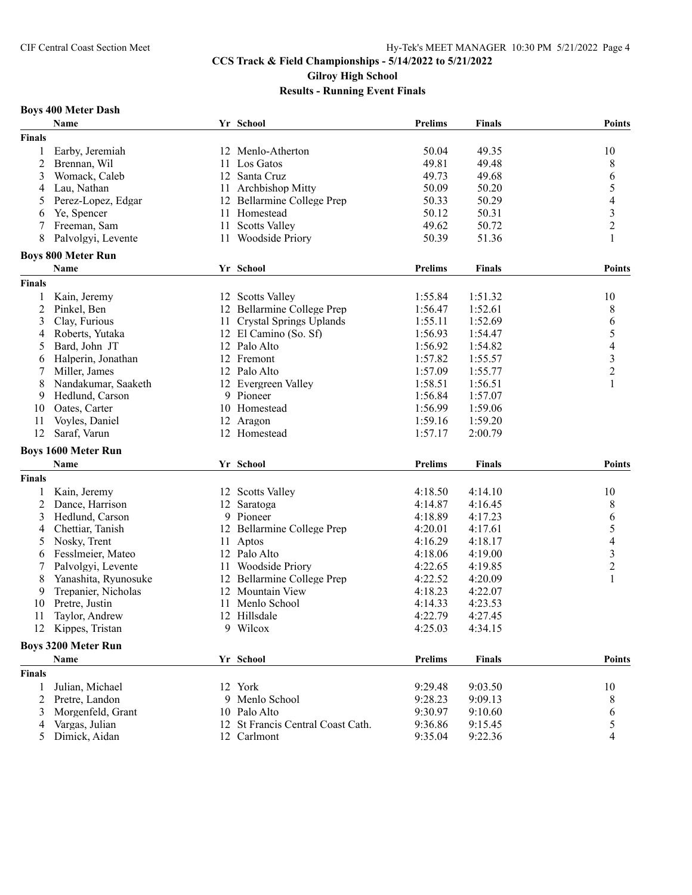### **Boys 400 Meter Dash**

|                | Name                              |    | Yr School                         | <b>Prelims</b> | <b>Finals</b> | <b>Points</b>            |
|----------------|-----------------------------------|----|-----------------------------------|----------------|---------------|--------------------------|
| <b>Finals</b>  |                                   |    |                                   |                |               |                          |
|                | Earby, Jeremiah                   |    | 12 Menlo-Atherton                 | 50.04          | 49.35         | 10                       |
| $\overline{c}$ | Brennan, Wil                      | 11 | Los Gatos                         | 49.81          | 49.48         | 8                        |
| 3              | Womack, Caleb                     | 12 | Santa Cruz                        | 49.73          | 49.68         | 6                        |
| 4              | Lau, Nathan                       | 11 | Archbishop Mitty                  | 50.09          | 50.20         | 5                        |
| 5              | Perez-Lopez, Edgar                |    | 12 Bellarmine College Prep        | 50.33          | 50.29         | $\overline{\mathcal{A}}$ |
| 6              | Ye, Spencer                       |    | 11 Homestead                      | 50.12          | 50.31         | $\mathfrak{Z}$           |
| 7              | Freeman, Sam                      | 11 | <b>Scotts Valley</b>              | 49.62          | 50.72         | $\overline{c}$           |
| 8              | Palvolgyi, Levente                | 11 | <b>Woodside Priory</b>            | 50.39          | 51.36         | 1                        |
|                |                                   |    |                                   |                |               |                          |
|                | <b>Boys 800 Meter Run</b><br>Name |    | Yr School                         | <b>Prelims</b> | <b>Finals</b> | <b>Points</b>            |
|                |                                   |    |                                   |                |               |                          |
| <b>Finals</b>  |                                   |    |                                   |                |               |                          |
| 1              | Kain, Jeremy                      |    | 12 Scotts Valley                  | 1:55.84        | 1:51.32       | 10                       |
| 2              | Pinkel, Ben                       |    | 12 Bellarmine College Prep        | 1:56.47        | 1:52.61       | 8                        |
| 3              | Clay, Furious                     |    | 11 Crystal Springs Uplands        | 1:55.11        | 1:52.69       | 6                        |
| 4              | Roberts, Yutaka                   |    | 12 El Camino (So. Sf)             | 1:56.93        | 1:54.47       | 5                        |
| 5              | Bard, John JT                     |    | 12 Palo Alto                      | 1:56.92        | 1:54.82       | 4                        |
| 6              | Halperin, Jonathan                |    | 12 Fremont                        | 1:57.82        | 1:55.57       | 3                        |
| 7              | Miller, James                     |    | 12 Palo Alto                      | 1:57.09        | 1:55.77       | $\overline{c}$           |
| 8              | Nandakumar, Saaketh               |    | 12 Evergreen Valley               | 1:58.51        | 1:56.51       | 1                        |
| 9              | Hedlund, Carson                   |    | 9 Pioneer                         | 1:56.84        | 1:57.07       |                          |
| 10             | Oates, Carter                     |    | 10 Homestead                      | 1:56.99        | 1:59.06       |                          |
| 11             | Voyles, Daniel                    | 12 | Aragon                            | 1:59.16        | 1:59.20       |                          |
| 12             | Saraf, Varun                      |    | 12 Homestead                      | 1:57.17        | 2:00.79       |                          |
|                | <b>Boys 1600 Meter Run</b>        |    |                                   |                |               |                          |
|                | <b>Name</b>                       |    | Yr School                         | <b>Prelims</b> | <b>Finals</b> | <b>Points</b>            |
|                |                                   |    |                                   |                |               |                          |
| <b>Finals</b>  |                                   |    |                                   |                |               |                          |
| 1              | Kain, Jeremy                      |    | 12 Scotts Valley                  | 4:18.50        | 4:14.10       | 10                       |
| 2              | Dance, Harrison                   |    | 12 Saratoga                       | 4:14.87        | 4:16.45       | 8                        |
| 3              | Hedlund, Carson                   | 9  | Pioneer                           | 4:18.89        | 4:17.23       | 6                        |
| 4              | Chettiar, Tanish                  |    | 12 Bellarmine College Prep        | 4:20.01        | 4:17.61       | 5                        |
| 5              | Nosky, Trent                      | 11 | Aptos                             | 4:16.29        | 4:18.17       | 4                        |
| 6              | Fesslmeier, Mateo                 |    | 12 Palo Alto                      | 4:18.06        | 4:19.00       | $\mathfrak{Z}$           |
|                | Palvolgyi, Levente                |    | 11 Woodside Priory                | 4:22.65        | 4:19.85       | $\overline{c}$           |
| 8              | Yanashita, Ryunosuke              |    | 12 Bellarmine College Prep        | 4:22.52        | 4:20.09       | 1                        |
| 9              | Trepanier, Nicholas               | 12 | Mountain View                     | 4:18.23        | 4:22.07       |                          |
| 10             | Pretre, Justin                    | 11 | Menlo School                      | 4:14.33        | 4:23.53       |                          |
| 11             | Taylor, Andrew                    |    | 12 Hillsdale                      | 4:22.79        | 4:27.45       |                          |
| 12             | Kippes, Tristan                   |    | 9 Wilcox                          | 4:25.03        | 4:34.15       |                          |
|                | <b>Boys 3200 Meter Run</b>        |    |                                   |                |               |                          |
|                | Name                              |    | Yr School                         | <b>Prelims</b> | <b>Finals</b> | <b>Points</b>            |
| <b>Finals</b>  |                                   |    |                                   |                |               |                          |
|                | Julian, Michael                   |    | 12 York                           | 9:29.48        | 9:03.50       | 10                       |
| 2              | Pretre, Landon                    |    | 9 Menlo School                    | 9:28.23        | 9:09.13       | 8                        |
| 3              | Morgenfeld, Grant                 |    | 10 Palo Alto                      | 9:30.97        | 9:10.60       | 6                        |
| 4              | Vargas, Julian                    |    | 12 St Francis Central Coast Cath. | 9:36.86        | 9:15.45       | 5                        |
| 5              | Dimick, Aidan                     |    | 12 Carlmont                       | 9:35.04        | 9:22.36       | 4                        |
|                |                                   |    |                                   |                |               |                          |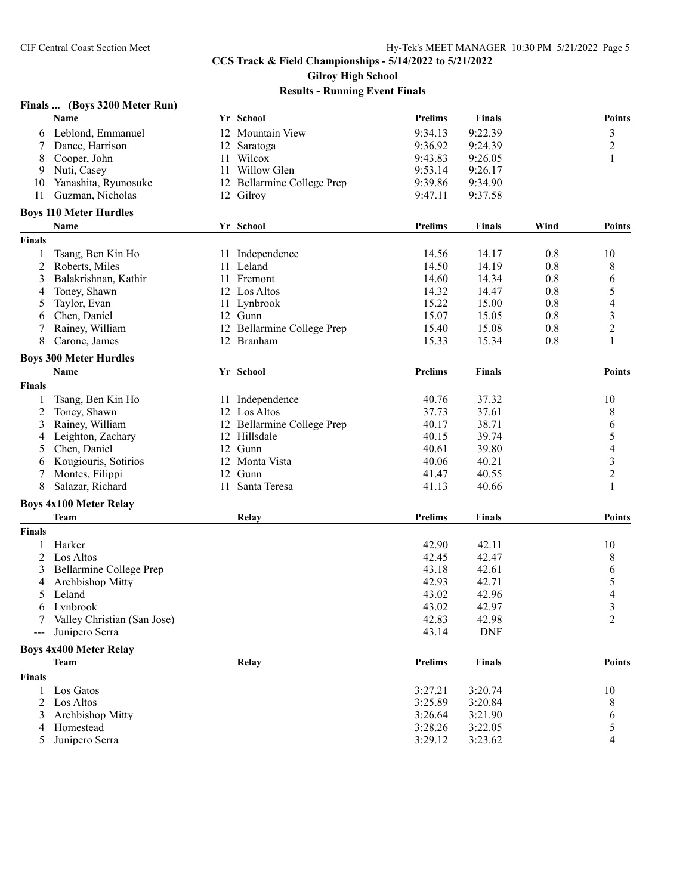### **Finals ... (Boys 3200 Meter Run)**

| 9:34.13<br>9:22.39<br>$\mathfrak{Z}$<br>12 Mountain View<br>Leblond, Emmanuel<br>6<br>9:36.92<br>$\overline{c}$<br>Dance, Harrison<br>9:24.39<br>7<br>12 Saratoga<br>11 Wilcox<br>9:43.83<br>1<br>8<br>Cooper, John<br>9:26.05<br>Nuti, Casey<br>11 Willow Glen<br>9:53.14<br>9:26.17<br>9<br>9:39.86<br>Yanashita, Ryunosuke<br>12 Bellarmine College Prep<br>9:34.90<br>10<br>11<br>Guzman, Nicholas<br>12 Gilroy<br>9:47.11<br>9:37.58<br><b>Boys 110 Meter Hurdles</b><br><b>Prelims</b><br>Name<br>Yr School<br>Wind<br><b>Finals</b><br><b>Points</b><br><b>Finals</b><br>Tsang, Ben Kin Ho<br>14.56<br>14.17<br>0.8<br>10<br>11 Independence<br>1<br>2<br>11 Leland<br>Roberts, Miles<br>14.50<br>14.19<br>0.8<br>8<br>3<br>14.60<br>14.34<br>0.8<br>6<br>Balakrishnan, Kathir<br>11 Fremont<br>12 Los Altos<br>0.8<br>5<br>Toney, Shawn<br>14.32<br>14.47<br>4<br>4<br>Taylor, Evan<br>11 Lynbrook<br>15.22<br>15.00<br>0.8<br>5<br>$\overline{\mathbf{3}}$<br>0.8<br>Chen, Daniel<br>12 Gunn<br>15.07<br>15.05<br>6<br>$\overline{2}$<br>Rainey, William<br>15.08<br>0.8<br>12 Bellarmine College Prep<br>15.40<br>7<br>1<br>8<br>Carone, James<br>12 Branham<br>15.33<br>15.34<br>0.8<br><b>Boys 300 Meter Hurdles</b><br>Yr School<br><b>Prelims</b><br><b>Finals</b><br>Name<br><b>Finals</b><br>Tsang, Ben Kin Ho<br>$\mathbf{1}$<br>11 Independence<br>40.76<br>37.32<br>10<br>2<br>Toney, Shawn<br>8<br>12 Los Altos<br>37.73<br>37.61<br>Rainey, William<br>38.71<br>3<br>12 Bellarmine College Prep<br>40.17<br>6<br>5<br>39.74<br>Leighton, Zachary<br>12 Hillsdale<br>40.15<br>4<br>39.80<br>4<br>Chen, Daniel<br>12 Gunn<br>40.61<br>5<br>3<br>Kougiouris, Sotirios<br>12 Monta Vista<br>40.06<br>40.21<br>6<br>$\overline{c}$<br>7<br>Montes, Filippi<br>12 Gunn<br>41.47<br>40.55<br>8<br>Salazar, Richard<br>11 Santa Teresa<br>40.66<br>1<br>41.13<br><b>Boys 4x100 Meter Relay</b><br>Relay<br><b>Prelims</b><br><b>Points</b><br>Team<br><b>Finals</b><br><b>Finals</b><br>Harker<br>42.90<br>42.11<br>10<br>1<br>2<br>Los Altos<br>42.45<br>42.47<br>8<br>Bellarmine College Prep<br>43.18<br>42.61<br>3<br>6<br>Archbishop Mitty<br>42.93<br>42.71<br>5<br>4<br>Leland<br>42.96<br>$\overline{4}$<br>43.02<br>3<br>Lynbrook<br>43.02<br>42.97<br>6<br>$\overline{c}$<br>7 Valley Christian (San Jose)<br>42.83<br>42.98<br>Junipero Serra<br>43.14<br><b>DNF</b><br>$\frac{1}{2}$<br><b>Boys 4x400 Meter Relay</b><br><b>Prelims</b><br>Relay<br><b>Finals</b><br>Team<br><b>Finals</b><br>Los Gatos<br>3:27.21<br>3:20.74<br>10<br>1<br>3:25.89<br>Los Altos<br>8<br>2<br>3:20.84<br>Archbishop Mitty<br>3:26.64<br>3:21.90<br>6<br>3<br>5<br>Homestead<br>3:28.26<br>3:22.05<br>4<br>5 Junipero Serra<br>3:29.12<br>4<br>3:23.62 | Name | Yr School | <b>Prelims</b> | <b>Finals</b> | <b>Points</b> |
|----------------------------------------------------------------------------------------------------------------------------------------------------------------------------------------------------------------------------------------------------------------------------------------------------------------------------------------------------------------------------------------------------------------------------------------------------------------------------------------------------------------------------------------------------------------------------------------------------------------------------------------------------------------------------------------------------------------------------------------------------------------------------------------------------------------------------------------------------------------------------------------------------------------------------------------------------------------------------------------------------------------------------------------------------------------------------------------------------------------------------------------------------------------------------------------------------------------------------------------------------------------------------------------------------------------------------------------------------------------------------------------------------------------------------------------------------------------------------------------------------------------------------------------------------------------------------------------------------------------------------------------------------------------------------------------------------------------------------------------------------------------------------------------------------------------------------------------------------------------------------------------------------------------------------------------------------------------------------------------------------------------------------------------------------------------------------------------------------------------------------------------------------------------------------------------------------------------------------------------------------------------------------------------------------------------------------------------------------------------------------------------------------------------------------------------------------------------------------------------------------------------------------------------------------------------------------------------------------------------------------------------------------------------------------------------------------------------------------------------------------------------|------|-----------|----------------|---------------|---------------|
|                                                                                                                                                                                                                                                                                                                                                                                                                                                                                                                                                                                                                                                                                                                                                                                                                                                                                                                                                                                                                                                                                                                                                                                                                                                                                                                                                                                                                                                                                                                                                                                                                                                                                                                                                                                                                                                                                                                                                                                                                                                                                                                                                                                                                                                                                                                                                                                                                                                                                                                                                                                                                                                                                                                                                                |      |           |                |               |               |
|                                                                                                                                                                                                                                                                                                                                                                                                                                                                                                                                                                                                                                                                                                                                                                                                                                                                                                                                                                                                                                                                                                                                                                                                                                                                                                                                                                                                                                                                                                                                                                                                                                                                                                                                                                                                                                                                                                                                                                                                                                                                                                                                                                                                                                                                                                                                                                                                                                                                                                                                                                                                                                                                                                                                                                |      |           |                |               |               |
|                                                                                                                                                                                                                                                                                                                                                                                                                                                                                                                                                                                                                                                                                                                                                                                                                                                                                                                                                                                                                                                                                                                                                                                                                                                                                                                                                                                                                                                                                                                                                                                                                                                                                                                                                                                                                                                                                                                                                                                                                                                                                                                                                                                                                                                                                                                                                                                                                                                                                                                                                                                                                                                                                                                                                                |      |           |                |               |               |
|                                                                                                                                                                                                                                                                                                                                                                                                                                                                                                                                                                                                                                                                                                                                                                                                                                                                                                                                                                                                                                                                                                                                                                                                                                                                                                                                                                                                                                                                                                                                                                                                                                                                                                                                                                                                                                                                                                                                                                                                                                                                                                                                                                                                                                                                                                                                                                                                                                                                                                                                                                                                                                                                                                                                                                |      |           |                |               |               |
|                                                                                                                                                                                                                                                                                                                                                                                                                                                                                                                                                                                                                                                                                                                                                                                                                                                                                                                                                                                                                                                                                                                                                                                                                                                                                                                                                                                                                                                                                                                                                                                                                                                                                                                                                                                                                                                                                                                                                                                                                                                                                                                                                                                                                                                                                                                                                                                                                                                                                                                                                                                                                                                                                                                                                                |      |           |                |               |               |
|                                                                                                                                                                                                                                                                                                                                                                                                                                                                                                                                                                                                                                                                                                                                                                                                                                                                                                                                                                                                                                                                                                                                                                                                                                                                                                                                                                                                                                                                                                                                                                                                                                                                                                                                                                                                                                                                                                                                                                                                                                                                                                                                                                                                                                                                                                                                                                                                                                                                                                                                                                                                                                                                                                                                                                |      |           |                |               |               |
|                                                                                                                                                                                                                                                                                                                                                                                                                                                                                                                                                                                                                                                                                                                                                                                                                                                                                                                                                                                                                                                                                                                                                                                                                                                                                                                                                                                                                                                                                                                                                                                                                                                                                                                                                                                                                                                                                                                                                                                                                                                                                                                                                                                                                                                                                                                                                                                                                                                                                                                                                                                                                                                                                                                                                                |      |           |                |               |               |
|                                                                                                                                                                                                                                                                                                                                                                                                                                                                                                                                                                                                                                                                                                                                                                                                                                                                                                                                                                                                                                                                                                                                                                                                                                                                                                                                                                                                                                                                                                                                                                                                                                                                                                                                                                                                                                                                                                                                                                                                                                                                                                                                                                                                                                                                                                                                                                                                                                                                                                                                                                                                                                                                                                                                                                |      |           |                |               |               |
|                                                                                                                                                                                                                                                                                                                                                                                                                                                                                                                                                                                                                                                                                                                                                                                                                                                                                                                                                                                                                                                                                                                                                                                                                                                                                                                                                                                                                                                                                                                                                                                                                                                                                                                                                                                                                                                                                                                                                                                                                                                                                                                                                                                                                                                                                                                                                                                                                                                                                                                                                                                                                                                                                                                                                                |      |           |                |               |               |
|                                                                                                                                                                                                                                                                                                                                                                                                                                                                                                                                                                                                                                                                                                                                                                                                                                                                                                                                                                                                                                                                                                                                                                                                                                                                                                                                                                                                                                                                                                                                                                                                                                                                                                                                                                                                                                                                                                                                                                                                                                                                                                                                                                                                                                                                                                                                                                                                                                                                                                                                                                                                                                                                                                                                                                |      |           |                |               |               |
|                                                                                                                                                                                                                                                                                                                                                                                                                                                                                                                                                                                                                                                                                                                                                                                                                                                                                                                                                                                                                                                                                                                                                                                                                                                                                                                                                                                                                                                                                                                                                                                                                                                                                                                                                                                                                                                                                                                                                                                                                                                                                                                                                                                                                                                                                                                                                                                                                                                                                                                                                                                                                                                                                                                                                                |      |           |                |               |               |
|                                                                                                                                                                                                                                                                                                                                                                                                                                                                                                                                                                                                                                                                                                                                                                                                                                                                                                                                                                                                                                                                                                                                                                                                                                                                                                                                                                                                                                                                                                                                                                                                                                                                                                                                                                                                                                                                                                                                                                                                                                                                                                                                                                                                                                                                                                                                                                                                                                                                                                                                                                                                                                                                                                                                                                |      |           |                |               |               |
|                                                                                                                                                                                                                                                                                                                                                                                                                                                                                                                                                                                                                                                                                                                                                                                                                                                                                                                                                                                                                                                                                                                                                                                                                                                                                                                                                                                                                                                                                                                                                                                                                                                                                                                                                                                                                                                                                                                                                                                                                                                                                                                                                                                                                                                                                                                                                                                                                                                                                                                                                                                                                                                                                                                                                                |      |           |                |               |               |
|                                                                                                                                                                                                                                                                                                                                                                                                                                                                                                                                                                                                                                                                                                                                                                                                                                                                                                                                                                                                                                                                                                                                                                                                                                                                                                                                                                                                                                                                                                                                                                                                                                                                                                                                                                                                                                                                                                                                                                                                                                                                                                                                                                                                                                                                                                                                                                                                                                                                                                                                                                                                                                                                                                                                                                |      |           |                |               |               |
|                                                                                                                                                                                                                                                                                                                                                                                                                                                                                                                                                                                                                                                                                                                                                                                                                                                                                                                                                                                                                                                                                                                                                                                                                                                                                                                                                                                                                                                                                                                                                                                                                                                                                                                                                                                                                                                                                                                                                                                                                                                                                                                                                                                                                                                                                                                                                                                                                                                                                                                                                                                                                                                                                                                                                                |      |           |                |               |               |
|                                                                                                                                                                                                                                                                                                                                                                                                                                                                                                                                                                                                                                                                                                                                                                                                                                                                                                                                                                                                                                                                                                                                                                                                                                                                                                                                                                                                                                                                                                                                                                                                                                                                                                                                                                                                                                                                                                                                                                                                                                                                                                                                                                                                                                                                                                                                                                                                                                                                                                                                                                                                                                                                                                                                                                |      |           |                |               |               |
|                                                                                                                                                                                                                                                                                                                                                                                                                                                                                                                                                                                                                                                                                                                                                                                                                                                                                                                                                                                                                                                                                                                                                                                                                                                                                                                                                                                                                                                                                                                                                                                                                                                                                                                                                                                                                                                                                                                                                                                                                                                                                                                                                                                                                                                                                                                                                                                                                                                                                                                                                                                                                                                                                                                                                                |      |           |                |               |               |
|                                                                                                                                                                                                                                                                                                                                                                                                                                                                                                                                                                                                                                                                                                                                                                                                                                                                                                                                                                                                                                                                                                                                                                                                                                                                                                                                                                                                                                                                                                                                                                                                                                                                                                                                                                                                                                                                                                                                                                                                                                                                                                                                                                                                                                                                                                                                                                                                                                                                                                                                                                                                                                                                                                                                                                |      |           |                |               |               |
|                                                                                                                                                                                                                                                                                                                                                                                                                                                                                                                                                                                                                                                                                                                                                                                                                                                                                                                                                                                                                                                                                                                                                                                                                                                                                                                                                                                                                                                                                                                                                                                                                                                                                                                                                                                                                                                                                                                                                                                                                                                                                                                                                                                                                                                                                                                                                                                                                                                                                                                                                                                                                                                                                                                                                                |      |           |                |               |               |
|                                                                                                                                                                                                                                                                                                                                                                                                                                                                                                                                                                                                                                                                                                                                                                                                                                                                                                                                                                                                                                                                                                                                                                                                                                                                                                                                                                                                                                                                                                                                                                                                                                                                                                                                                                                                                                                                                                                                                                                                                                                                                                                                                                                                                                                                                                                                                                                                                                                                                                                                                                                                                                                                                                                                                                |      |           |                |               | <b>Points</b> |
|                                                                                                                                                                                                                                                                                                                                                                                                                                                                                                                                                                                                                                                                                                                                                                                                                                                                                                                                                                                                                                                                                                                                                                                                                                                                                                                                                                                                                                                                                                                                                                                                                                                                                                                                                                                                                                                                                                                                                                                                                                                                                                                                                                                                                                                                                                                                                                                                                                                                                                                                                                                                                                                                                                                                                                |      |           |                |               |               |
|                                                                                                                                                                                                                                                                                                                                                                                                                                                                                                                                                                                                                                                                                                                                                                                                                                                                                                                                                                                                                                                                                                                                                                                                                                                                                                                                                                                                                                                                                                                                                                                                                                                                                                                                                                                                                                                                                                                                                                                                                                                                                                                                                                                                                                                                                                                                                                                                                                                                                                                                                                                                                                                                                                                                                                |      |           |                |               |               |
|                                                                                                                                                                                                                                                                                                                                                                                                                                                                                                                                                                                                                                                                                                                                                                                                                                                                                                                                                                                                                                                                                                                                                                                                                                                                                                                                                                                                                                                                                                                                                                                                                                                                                                                                                                                                                                                                                                                                                                                                                                                                                                                                                                                                                                                                                                                                                                                                                                                                                                                                                                                                                                                                                                                                                                |      |           |                |               |               |
|                                                                                                                                                                                                                                                                                                                                                                                                                                                                                                                                                                                                                                                                                                                                                                                                                                                                                                                                                                                                                                                                                                                                                                                                                                                                                                                                                                                                                                                                                                                                                                                                                                                                                                                                                                                                                                                                                                                                                                                                                                                                                                                                                                                                                                                                                                                                                                                                                                                                                                                                                                                                                                                                                                                                                                |      |           |                |               |               |
|                                                                                                                                                                                                                                                                                                                                                                                                                                                                                                                                                                                                                                                                                                                                                                                                                                                                                                                                                                                                                                                                                                                                                                                                                                                                                                                                                                                                                                                                                                                                                                                                                                                                                                                                                                                                                                                                                                                                                                                                                                                                                                                                                                                                                                                                                                                                                                                                                                                                                                                                                                                                                                                                                                                                                                |      |           |                |               |               |
|                                                                                                                                                                                                                                                                                                                                                                                                                                                                                                                                                                                                                                                                                                                                                                                                                                                                                                                                                                                                                                                                                                                                                                                                                                                                                                                                                                                                                                                                                                                                                                                                                                                                                                                                                                                                                                                                                                                                                                                                                                                                                                                                                                                                                                                                                                                                                                                                                                                                                                                                                                                                                                                                                                                                                                |      |           |                |               |               |
|                                                                                                                                                                                                                                                                                                                                                                                                                                                                                                                                                                                                                                                                                                                                                                                                                                                                                                                                                                                                                                                                                                                                                                                                                                                                                                                                                                                                                                                                                                                                                                                                                                                                                                                                                                                                                                                                                                                                                                                                                                                                                                                                                                                                                                                                                                                                                                                                                                                                                                                                                                                                                                                                                                                                                                |      |           |                |               |               |
|                                                                                                                                                                                                                                                                                                                                                                                                                                                                                                                                                                                                                                                                                                                                                                                                                                                                                                                                                                                                                                                                                                                                                                                                                                                                                                                                                                                                                                                                                                                                                                                                                                                                                                                                                                                                                                                                                                                                                                                                                                                                                                                                                                                                                                                                                                                                                                                                                                                                                                                                                                                                                                                                                                                                                                |      |           |                |               |               |
|                                                                                                                                                                                                                                                                                                                                                                                                                                                                                                                                                                                                                                                                                                                                                                                                                                                                                                                                                                                                                                                                                                                                                                                                                                                                                                                                                                                                                                                                                                                                                                                                                                                                                                                                                                                                                                                                                                                                                                                                                                                                                                                                                                                                                                                                                                                                                                                                                                                                                                                                                                                                                                                                                                                                                                |      |           |                |               |               |
|                                                                                                                                                                                                                                                                                                                                                                                                                                                                                                                                                                                                                                                                                                                                                                                                                                                                                                                                                                                                                                                                                                                                                                                                                                                                                                                                                                                                                                                                                                                                                                                                                                                                                                                                                                                                                                                                                                                                                                                                                                                                                                                                                                                                                                                                                                                                                                                                                                                                                                                                                                                                                                                                                                                                                                |      |           |                |               |               |
|                                                                                                                                                                                                                                                                                                                                                                                                                                                                                                                                                                                                                                                                                                                                                                                                                                                                                                                                                                                                                                                                                                                                                                                                                                                                                                                                                                                                                                                                                                                                                                                                                                                                                                                                                                                                                                                                                                                                                                                                                                                                                                                                                                                                                                                                                                                                                                                                                                                                                                                                                                                                                                                                                                                                                                |      |           |                |               |               |
|                                                                                                                                                                                                                                                                                                                                                                                                                                                                                                                                                                                                                                                                                                                                                                                                                                                                                                                                                                                                                                                                                                                                                                                                                                                                                                                                                                                                                                                                                                                                                                                                                                                                                                                                                                                                                                                                                                                                                                                                                                                                                                                                                                                                                                                                                                                                                                                                                                                                                                                                                                                                                                                                                                                                                                |      |           |                |               |               |
|                                                                                                                                                                                                                                                                                                                                                                                                                                                                                                                                                                                                                                                                                                                                                                                                                                                                                                                                                                                                                                                                                                                                                                                                                                                                                                                                                                                                                                                                                                                                                                                                                                                                                                                                                                                                                                                                                                                                                                                                                                                                                                                                                                                                                                                                                                                                                                                                                                                                                                                                                                                                                                                                                                                                                                |      |           |                |               |               |
|                                                                                                                                                                                                                                                                                                                                                                                                                                                                                                                                                                                                                                                                                                                                                                                                                                                                                                                                                                                                                                                                                                                                                                                                                                                                                                                                                                                                                                                                                                                                                                                                                                                                                                                                                                                                                                                                                                                                                                                                                                                                                                                                                                                                                                                                                                                                                                                                                                                                                                                                                                                                                                                                                                                                                                |      |           |                |               |               |
|                                                                                                                                                                                                                                                                                                                                                                                                                                                                                                                                                                                                                                                                                                                                                                                                                                                                                                                                                                                                                                                                                                                                                                                                                                                                                                                                                                                                                                                                                                                                                                                                                                                                                                                                                                                                                                                                                                                                                                                                                                                                                                                                                                                                                                                                                                                                                                                                                                                                                                                                                                                                                                                                                                                                                                |      |           |                |               |               |
|                                                                                                                                                                                                                                                                                                                                                                                                                                                                                                                                                                                                                                                                                                                                                                                                                                                                                                                                                                                                                                                                                                                                                                                                                                                                                                                                                                                                                                                                                                                                                                                                                                                                                                                                                                                                                                                                                                                                                                                                                                                                                                                                                                                                                                                                                                                                                                                                                                                                                                                                                                                                                                                                                                                                                                |      |           |                |               |               |
|                                                                                                                                                                                                                                                                                                                                                                                                                                                                                                                                                                                                                                                                                                                                                                                                                                                                                                                                                                                                                                                                                                                                                                                                                                                                                                                                                                                                                                                                                                                                                                                                                                                                                                                                                                                                                                                                                                                                                                                                                                                                                                                                                                                                                                                                                                                                                                                                                                                                                                                                                                                                                                                                                                                                                                |      |           |                |               |               |
|                                                                                                                                                                                                                                                                                                                                                                                                                                                                                                                                                                                                                                                                                                                                                                                                                                                                                                                                                                                                                                                                                                                                                                                                                                                                                                                                                                                                                                                                                                                                                                                                                                                                                                                                                                                                                                                                                                                                                                                                                                                                                                                                                                                                                                                                                                                                                                                                                                                                                                                                                                                                                                                                                                                                                                |      |           |                |               |               |
|                                                                                                                                                                                                                                                                                                                                                                                                                                                                                                                                                                                                                                                                                                                                                                                                                                                                                                                                                                                                                                                                                                                                                                                                                                                                                                                                                                                                                                                                                                                                                                                                                                                                                                                                                                                                                                                                                                                                                                                                                                                                                                                                                                                                                                                                                                                                                                                                                                                                                                                                                                                                                                                                                                                                                                |      |           |                |               |               |
|                                                                                                                                                                                                                                                                                                                                                                                                                                                                                                                                                                                                                                                                                                                                                                                                                                                                                                                                                                                                                                                                                                                                                                                                                                                                                                                                                                                                                                                                                                                                                                                                                                                                                                                                                                                                                                                                                                                                                                                                                                                                                                                                                                                                                                                                                                                                                                                                                                                                                                                                                                                                                                                                                                                                                                |      |           |                |               |               |
|                                                                                                                                                                                                                                                                                                                                                                                                                                                                                                                                                                                                                                                                                                                                                                                                                                                                                                                                                                                                                                                                                                                                                                                                                                                                                                                                                                                                                                                                                                                                                                                                                                                                                                                                                                                                                                                                                                                                                                                                                                                                                                                                                                                                                                                                                                                                                                                                                                                                                                                                                                                                                                                                                                                                                                |      |           |                |               |               |
|                                                                                                                                                                                                                                                                                                                                                                                                                                                                                                                                                                                                                                                                                                                                                                                                                                                                                                                                                                                                                                                                                                                                                                                                                                                                                                                                                                                                                                                                                                                                                                                                                                                                                                                                                                                                                                                                                                                                                                                                                                                                                                                                                                                                                                                                                                                                                                                                                                                                                                                                                                                                                                                                                                                                                                |      |           |                |               |               |
|                                                                                                                                                                                                                                                                                                                                                                                                                                                                                                                                                                                                                                                                                                                                                                                                                                                                                                                                                                                                                                                                                                                                                                                                                                                                                                                                                                                                                                                                                                                                                                                                                                                                                                                                                                                                                                                                                                                                                                                                                                                                                                                                                                                                                                                                                                                                                                                                                                                                                                                                                                                                                                                                                                                                                                |      |           |                |               | <b>Points</b> |
|                                                                                                                                                                                                                                                                                                                                                                                                                                                                                                                                                                                                                                                                                                                                                                                                                                                                                                                                                                                                                                                                                                                                                                                                                                                                                                                                                                                                                                                                                                                                                                                                                                                                                                                                                                                                                                                                                                                                                                                                                                                                                                                                                                                                                                                                                                                                                                                                                                                                                                                                                                                                                                                                                                                                                                |      |           |                |               |               |
|                                                                                                                                                                                                                                                                                                                                                                                                                                                                                                                                                                                                                                                                                                                                                                                                                                                                                                                                                                                                                                                                                                                                                                                                                                                                                                                                                                                                                                                                                                                                                                                                                                                                                                                                                                                                                                                                                                                                                                                                                                                                                                                                                                                                                                                                                                                                                                                                                                                                                                                                                                                                                                                                                                                                                                |      |           |                |               |               |
|                                                                                                                                                                                                                                                                                                                                                                                                                                                                                                                                                                                                                                                                                                                                                                                                                                                                                                                                                                                                                                                                                                                                                                                                                                                                                                                                                                                                                                                                                                                                                                                                                                                                                                                                                                                                                                                                                                                                                                                                                                                                                                                                                                                                                                                                                                                                                                                                                                                                                                                                                                                                                                                                                                                                                                |      |           |                |               |               |
|                                                                                                                                                                                                                                                                                                                                                                                                                                                                                                                                                                                                                                                                                                                                                                                                                                                                                                                                                                                                                                                                                                                                                                                                                                                                                                                                                                                                                                                                                                                                                                                                                                                                                                                                                                                                                                                                                                                                                                                                                                                                                                                                                                                                                                                                                                                                                                                                                                                                                                                                                                                                                                                                                                                                                                |      |           |                |               |               |
|                                                                                                                                                                                                                                                                                                                                                                                                                                                                                                                                                                                                                                                                                                                                                                                                                                                                                                                                                                                                                                                                                                                                                                                                                                                                                                                                                                                                                                                                                                                                                                                                                                                                                                                                                                                                                                                                                                                                                                                                                                                                                                                                                                                                                                                                                                                                                                                                                                                                                                                                                                                                                                                                                                                                                                |      |           |                |               |               |
|                                                                                                                                                                                                                                                                                                                                                                                                                                                                                                                                                                                                                                                                                                                                                                                                                                                                                                                                                                                                                                                                                                                                                                                                                                                                                                                                                                                                                                                                                                                                                                                                                                                                                                                                                                                                                                                                                                                                                                                                                                                                                                                                                                                                                                                                                                                                                                                                                                                                                                                                                                                                                                                                                                                                                                |      |           |                |               |               |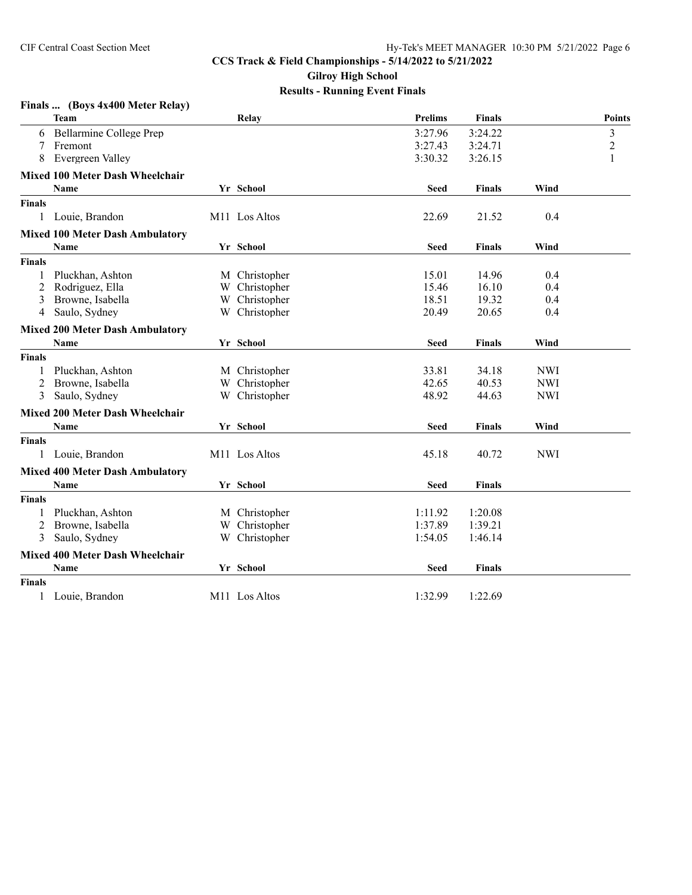|               | Finals  (Boys 4x400 Meter Relay)       |                           |             |               |            |                |
|---------------|----------------------------------------|---------------------------|-------------|---------------|------------|----------------|
|               | <b>Team</b>                            | Relay                     | Prelims     | <b>Finals</b> |            | <b>Points</b>  |
| 6             | Bellarmine College Prep                |                           | 3:27.96     | 3:24.22       |            | 3              |
| 7             | Fremont                                |                           | 3:27.43     | 3:24.71       |            | $\overline{c}$ |
| 8             | Evergreen Valley                       |                           | 3:30.32     | 3:26.15       |            | 1              |
|               | <b>Mixed 100 Meter Dash Wheelchair</b> |                           |             |               |            |                |
|               | <b>Name</b>                            | Yr School                 | <b>Seed</b> | <b>Finals</b> | Wind       |                |
| <b>Finals</b> |                                        |                           |             |               |            |                |
| 1             | Louie, Brandon                         | M <sub>11</sub> Los Altos | 22.69       | 21.52         | 0.4        |                |
|               | <b>Mixed 100 Meter Dash Ambulatory</b> |                           |             |               |            |                |
|               | Name                                   | Yr School                 | Seed        | Finals        | Wind       |                |
| <b>Finals</b> |                                        |                           |             |               |            |                |
| 1             | Pluckhan, Ashton                       | M Christopher             | 15.01       | 14.96         | 0.4        |                |
| 2             | Rodriguez, Ella                        | W Christopher             | 15.46       | 16.10         | 0.4        |                |
| 3             | Browne, Isabella                       | W Christopher             | 18.51       | 19.32         | 0.4        |                |
| 4             | Saulo, Sydney                          | W Christopher             | 20.49       | 20.65         | 0.4        |                |
|               | <b>Mixed 200 Meter Dash Ambulatory</b> |                           |             |               |            |                |
|               | Name                                   | Yr School                 | <b>Seed</b> | <b>Finals</b> | Wind       |                |
| <b>Finals</b> |                                        |                           |             |               |            |                |
| 1             | Pluckhan, Ashton                       | M Christopher             | 33.81       | 34.18         | <b>NWI</b> |                |
| 2             | Browne, Isabella                       | W Christopher             | 42.65       | 40.53         | <b>NWI</b> |                |
| 3             | Saulo, Sydney                          | W Christopher             | 48.92       | 44.63         | <b>NWI</b> |                |
|               | <b>Mixed 200 Meter Dash Wheelchair</b> |                           |             |               |            |                |
|               | <b>Name</b>                            | Yr School                 | <b>Seed</b> | <b>Finals</b> | Wind       |                |
| <b>Finals</b> |                                        |                           |             |               |            |                |
| 1             | Louie, Brandon                         | M <sub>11</sub> Los Altos | 45.18       | 40.72         | <b>NWI</b> |                |
|               | <b>Mixed 400 Meter Dash Ambulatory</b> |                           |             |               |            |                |
|               | <b>Name</b>                            | Yr School                 | Seed        | <b>Finals</b> |            |                |
| <b>Finals</b> |                                        |                           |             |               |            |                |
| 1             | Pluckhan, Ashton                       | M Christopher             | 1:11.92     | 1:20.08       |            |                |
| 2             | Browne, Isabella                       | W Christopher             | 1:37.89     | 1:39.21       |            |                |
| 3             | Saulo, Sydney                          | W Christopher             | 1:54.05     | 1:46.14       |            |                |
|               | Mixed 400 Meter Dash Wheelchair        |                           |             |               |            |                |
|               | Name                                   | Yr School                 | Seed        | <b>Finals</b> |            |                |
| <b>Finals</b> |                                        |                           |             |               |            |                |
|               | Louie, Brandon                         | M11 Los Altos             | 1:32.99     | 1:22.69       |            |                |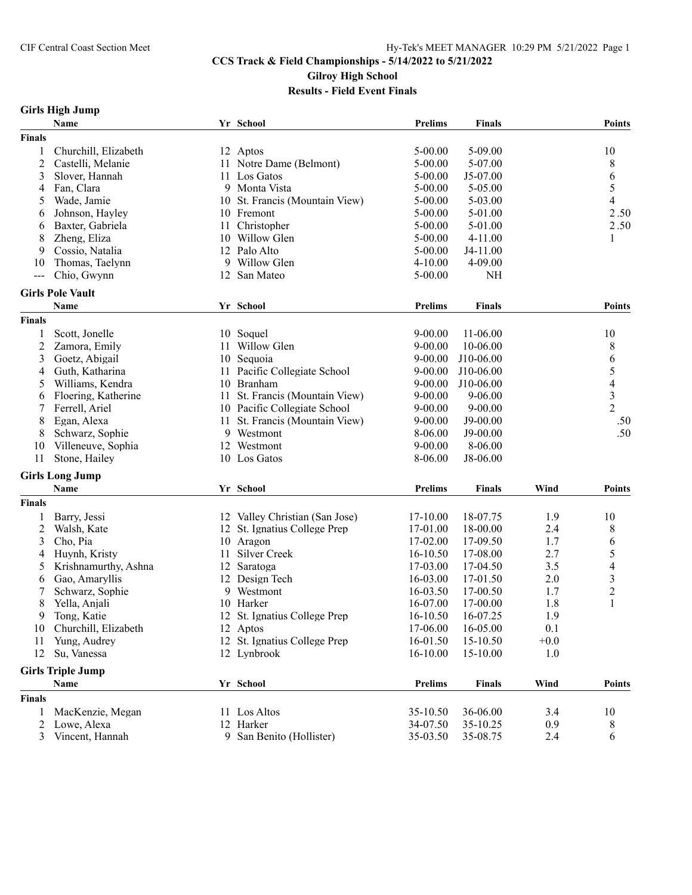## **CCS Track & Field Championships - 5/14/2022 to 5/21/2022 Gilroy High School**

**Results - Field Event Finals**

## **Girls High Jump**

|                | Name                     |    | Yr School                      | <b>Prelims</b> | <b>Finals</b> |        | <b>Points</b>            |
|----------------|--------------------------|----|--------------------------------|----------------|---------------|--------|--------------------------|
| <b>Finals</b>  |                          |    |                                |                |               |        |                          |
| 1              | Churchill, Elizabeth     |    | 12 Aptos                       | $5 - 00.00$    | 5-09.00       |        | 10                       |
| $\overline{c}$ | Castelli, Melanie        | 11 | Notre Dame (Belmont)           | 5-00.00        | 5-07.00       |        | 8                        |
| 3              | Slover, Hannah           |    | 11 Los Gatos                   | 5-00.00        | J5-07.00      |        | 6                        |
| 4              | Fan, Clara               | 9  | Monta Vista                    | $5 - 00.00$    | 5-05.00       |        | 5                        |
| 5              | Wade, Jamie              | 10 | St. Francis (Mountain View)    | 5-00.00        | $5 - 03.00$   |        | $\overline{4}$           |
| 6              | Johnson, Hayley          |    | 10 Fremont                     | 5-00.00        | 5-01.00       |        | 2.50                     |
| 6              | Baxter, Gabriela         | 11 | Christopher                    | $5 - 00.00$    | 5-01.00       |        | 2.50                     |
| 8              | Zheng, Eliza             | 10 | Willow Glen                    | 5-00.00        | $4 - 11.00$   |        | 1                        |
| 9              | Cossio, Natalia          |    | 12 Palo Alto                   | 5-00.00        | J4-11.00      |        |                          |
| 10             | Thomas, Taelynn          | 9  | Willow Glen                    | $4 - 10.00$    | 4-09.00       |        |                          |
| $\frac{1}{2}$  | Chio, Gwynn              | 12 | San Mateo                      | $5 - 00.00$    | NH            |        |                          |
|                |                          |    |                                |                |               |        |                          |
|                | <b>Girls Pole Vault</b>  |    |                                |                |               |        |                          |
|                | Name                     |    | Yr School                      | <b>Prelims</b> | <b>Finals</b> |        | Points                   |
| <b>Finals</b>  |                          |    |                                |                |               |        |                          |
| 1              | Scott, Jonelle           | 10 | Soquel                         | $9 - 00.00$    | 11-06.00      |        | 10                       |
| $\overline{c}$ | Zamora, Emily            | 11 | Willow Glen                    | $9 - 00.00$    | 10-06.00      |        | 8                        |
| 3              | Goetz, Abigail           | 10 | Sequoia                        | $9 - 00.00$    | J10-06.00     |        | 6                        |
| 4              | Guth, Katharina          | 11 | Pacific Collegiate School      | $9 - 00.00$    | J10-06.00     |        | 5                        |
| 5              | Williams, Kendra         | 10 | Branham                        | $9 - 00.00$    | J10-06.00     |        | $\overline{\mathcal{A}}$ |
| 6              | Floering, Katherine      | 11 | St. Francis (Mountain View)    | $9 - 00.00$    | $9 - 06.00$   |        | $\overline{\mathbf{3}}$  |
| 7              | Ferrell, Ariel           |    | 10 Pacific Collegiate School   | $9 - 00.00$    | $9 - 00.00$   |        | $\overline{2}$           |
| 8              | Egan, Alexa              | 11 | St. Francis (Mountain View)    | $9 - 00.00$    | J9-00.00      |        | .50                      |
| 8              | Schwarz, Sophie          |    | 9 Westmont                     | 8-06.00        | J9-00.00      |        | .50                      |
| 10             | Villeneuve, Sophia       | 12 | Westmont                       | $9 - 00.00$    | 8-06.00       |        |                          |
| 11             | Stone, Hailey            | 10 | Los Gatos                      | 8-06.00        | J8-06.00      |        |                          |
|                | <b>Girls Long Jump</b>   |    |                                |                |               |        |                          |
|                | Name                     |    | Yr School                      | <b>Prelims</b> | <b>Finals</b> | Wind   | Points                   |
| <b>Finals</b>  |                          |    |                                |                |               |        |                          |
| 1              | Barry, Jessi             |    | 12 Valley Christian (San Jose) | 17-10.00       | 18-07.75      | 1.9    | 10                       |
| 2              | Walsh, Kate              | 12 |                                | 17-01.00       | 18-00.00      | 2.4    |                          |
|                |                          |    | St. Ignatius College Prep      |                |               |        | 8                        |
| 3              | Cho, Pia                 |    | 10 Aragon                      | 17-02.00       | 17-09.50      | 1.7    | 6                        |
| 4              | Huynh, Kristy            | 11 | Silver Creek                   | 16-10.50       | 17-08.00      | 2.7    | 5<br>$\overline{4}$      |
| 5              | Krishnamurthy, Ashna     | 12 | Saratoga                       | 17-03.00       | 17-04.50      | 3.5    |                          |
| 6              | Gao, Amaryllis           |    | 12 Design Tech                 | 16-03.00       | 17-01.50      | 2.0    | 3                        |
| 7              | Schwarz, Sophie          | 9  | Westmont                       | 16-03.50       | 17-00.50      | 1.7    | $\overline{c}$           |
| 8              | Yella, Anjali            | 10 | Harker                         | 16-07.00       | 17-00.00      | 1.8    | $\mathbf{1}$             |
| 9              | Tong, Katie              |    | 12 St. Ignatius College Prep   | 16-10.50       | 16-07.25      | 1.9    |                          |
| 10             | Churchill, Elizabeth     |    | 12 Aptos                       | 17-06.00       | 16-05.00      | 0.1    |                          |
| 11             | Yung, Audrey             |    | 12 St. Ignatius College Prep   | 16-01.50       | 15-10.50      | $+0.0$ |                          |
| 12             | Su, Vanessa              |    | 12 Lynbrook                    | 16-10.00       | 15-10.00      | 1.0    |                          |
|                | <b>Girls Triple Jump</b> |    |                                |                |               |        |                          |
|                | Name                     |    | Yr School                      | <b>Prelims</b> | Finals        | Wind   | <b>Points</b>            |
| <b>Finals</b>  |                          |    |                                |                |               |        |                          |
| 1              | MacKenzie, Megan         |    | 11 Los Altos                   | 35-10.50       | 36-06.00      | 3.4    | 10                       |
| 2              | Lowe, Alexa              |    | 12 Harker                      | 34-07.50       | 35-10.25      | 0.9    | 8                        |
| 3              | Vincent, Hannah          |    | 9 San Benito (Hollister)       | 35-03.50       | 35-08.75      | 2.4    | 6                        |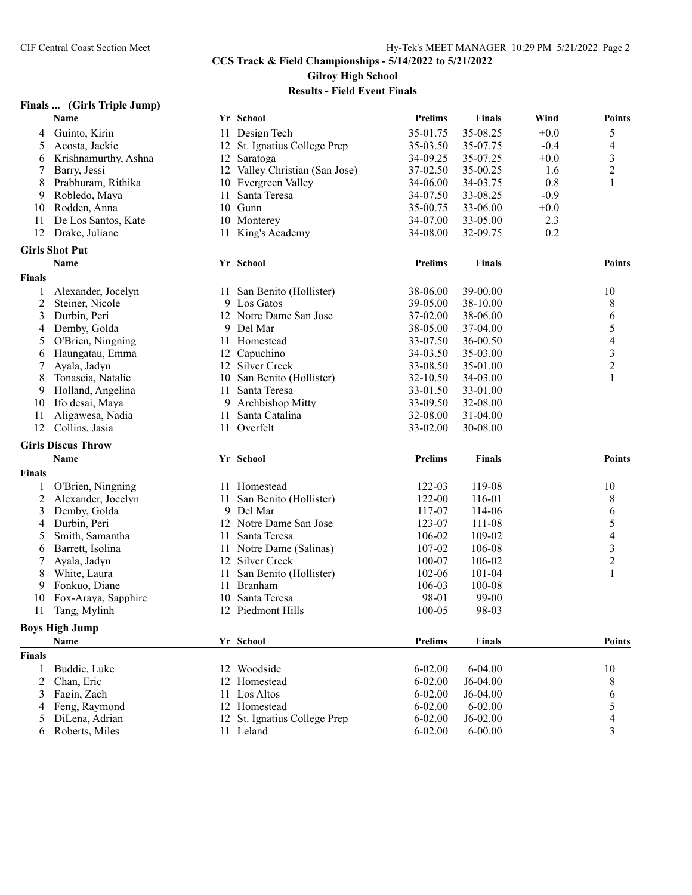## **CCS Track & Field Championships - 5/14/2022 to 5/21/2022 Gilroy High School**

**Results - Field Event Finals**

#### **Finals ... (Girls Triple Jump)**

|                | Name                      |    | Yr School                      | <b>Prelims</b> | <b>Finals</b> | Wind   | <b>Points</b>            |
|----------------|---------------------------|----|--------------------------------|----------------|---------------|--------|--------------------------|
| 4              | Guinto, Kirin             |    | 11 Design Tech                 | 35-01.75       | 35-08.25      | $+0.0$ | 5                        |
| 5              | Acosta, Jackie            |    | 12 St. Ignatius College Prep   | 35-03.50       | 35-07.75      | $-0.4$ | 4                        |
| 6              | Krishnamurthy, Ashna      |    | 12 Saratoga                    | 34-09.25       | 35-07.25      | $+0.0$ | $\mathfrak{Z}$           |
| 7              | Barry, Jessi              |    | 12 Valley Christian (San Jose) | 37-02.50       | 35-00.25      | 1.6    | $\boldsymbol{2}$         |
| 8              | Prabhuram, Rithika        | 10 | Evergreen Valley               | 34-06.00       | 34-03.75      | 0.8    | 1                        |
| 9              | Robledo, Maya             | 11 | Santa Teresa                   | 34-07.50       | 33-08.25      | $-0.9$ |                          |
| 10             | Rodden, Anna              |    | 10 Gunn                        | 35-00.75       | 33-06.00      | $+0.0$ |                          |
| 11             | De Los Santos, Kate       |    | 10 Monterey                    | 34-07.00       | 33-05.00      | 2.3    |                          |
| 12             | Drake, Juliane            | 11 | King's Academy                 | 34-08.00       | 32-09.75      | 0.2    |                          |
|                | <b>Girls Shot Put</b>     |    |                                |                |               |        |                          |
|                | Name                      |    | Yr School                      | Prelims        | <b>Finals</b> |        | <b>Points</b>            |
| <b>Finals</b>  |                           |    |                                |                |               |        |                          |
| 1              | Alexander, Jocelyn        |    | 11 San Benito (Hollister)      | 38-06.00       | 39-00.00      |        | 10                       |
| $\overline{2}$ | Steiner, Nicole           |    | 9 Los Gatos                    | 39-05.00       | 38-10.00      |        | 8                        |
| 3              | Durbin, Peri              |    | 12 Notre Dame San Jose         | 37-02.00       | 38-06.00      |        | 6                        |
| 4              | Demby, Golda              | 9. | Del Mar                        | 38-05.00       | 37-04.00      |        | 5                        |
| 5              | O'Brien, Ningning         | 11 | Homestead                      | 33-07.50       | 36-00.50      |        | $\overline{\mathcal{A}}$ |
| 6              | Haungatau, Emma           |    | 12 Capuchino                   | 34-03.50       | 35-03.00      |        | 3                        |
| 7              | Ayala, Jadyn              |    | 12 Silver Creek                | 33-08.50       | 35-01.00      |        | $\overline{c}$           |
| 8              | Tonascia, Natalie         |    | 10 San Benito (Hollister)      | 32-10.50       | 34-03.00      |        | 1                        |
| 9              | Holland, Angelina         | 11 | Santa Teresa                   | 33-01.50       | 33-01.00      |        |                          |
| 10             | Ifo desai, Maya           | 9  | Archbishop Mitty               | 33-09.50       | 32-08.00      |        |                          |
|                |                           |    |                                |                |               |        |                          |
| 11<br>12       | Aligawesa, Nadia          | 11 | Santa Catalina<br>11 Overfelt  | 32-08.00       | 31-04.00      |        |                          |
|                | Collins, Jasia            |    |                                | 33-02.00       | 30-08.00      |        |                          |
|                | <b>Girls Discus Throw</b> |    |                                |                |               |        |                          |
|                | Name                      |    | Yr School                      | <b>Prelims</b> | <b>Finals</b> |        | <b>Points</b>            |
| <b>Finals</b>  |                           |    |                                |                |               |        |                          |
| 1              | O'Brien, Ningning         |    | 11 Homestead                   | 122-03         | 119-08        |        | 10                       |
| 2              | Alexander, Jocelyn        | 11 | San Benito (Hollister)         | 122-00         | 116-01        |        | 8                        |
| 3              | Demby, Golda              |    | 9 Del Mar                      | 117-07         | 114-06        |        | 6                        |
| 4              | Durbin, Peri              |    | 12 Notre Dame San Jose         | 123-07         | 111-08        |        | 5                        |
| 5              | Smith, Samantha           | 11 | Santa Teresa                   | 106-02         | 109-02        |        | 4                        |
| 6              | Barrett, Isolina          | 11 | Notre Dame (Salinas)           | 107-02         | 106-08        |        | 3                        |
| 7              | Ayala, Jadyn              |    | 12 Silver Creek                | 100-07         | 106-02        |        | 2                        |
| 8              | White, Laura              | 11 | San Benito (Hollister)         | 102-06         | $101 - 04$    |        | 1                        |
| 9              | Fonkuo, Diane             | 11 | <b>Branham</b>                 | 106-03         | 100-08        |        |                          |
| 10             | Fox-Araya, Sapphire       | 10 | Santa Teresa                   | 98-01          | 99-00         |        |                          |
| 11             | Tang, Mylinh              |    | 12 Piedmont Hills              | 100-05         | 98-03         |        |                          |
|                | <b>Boys High Jump</b>     |    |                                |                |               |        |                          |
|                | Name                      |    | Yr School                      | <b>Prelims</b> | <b>Finals</b> |        | <b>Points</b>            |
| <b>Finals</b>  |                           |    |                                |                |               |        |                          |
| 1              | Buddie, Luke              |    | 12 Woodside                    | $6 - 02.00$    | 6-04.00       |        | 10                       |
| 2              | Chan, Eric                | 12 | Homestead                      | $6 - 02.00$    | J6-04.00      |        | 8                        |
| 3              | Fagin, Zach               | 11 | Los Altos                      | $6 - 02.00$    | J6-04.00      |        | 6                        |
| 4              | Feng, Raymond             |    | 12 Homestead                   | $6 - 02.00$    | $6 - 02.00$   |        | 5                        |
| 5              | DiLena, Adrian            |    | 12 St. Ignatius College Prep   | $6 - 02.00$    | $J6-02.00$    |        | 4                        |
| 6              | Roberts, Miles            |    | 11 Leland                      | $6 - 02.00$    | $6 - 00.00$   |        | 3                        |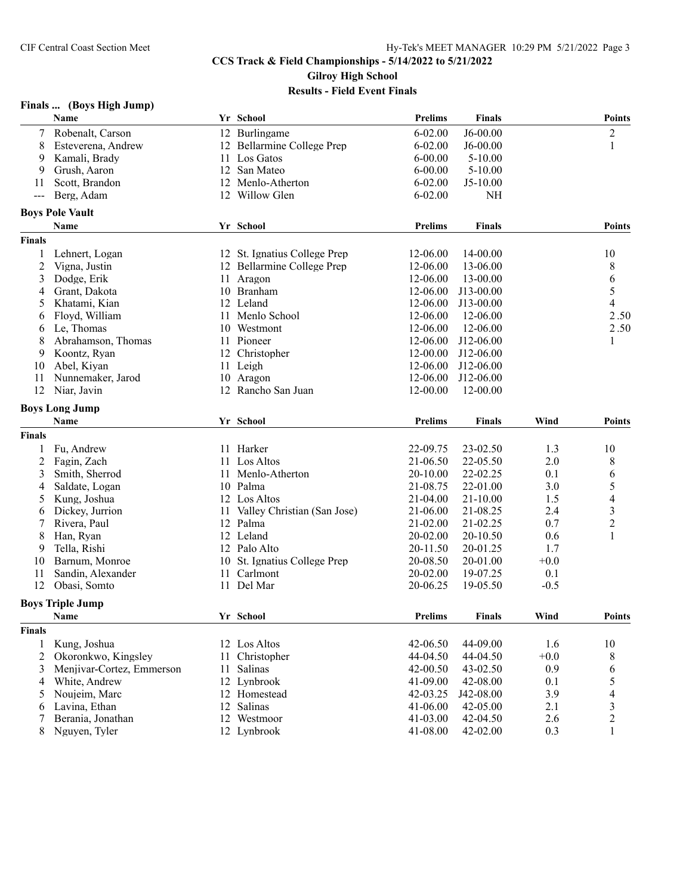### **Finals ... (Boys High Jump)**

|               | Name                      |    | Yr School                    | <b>Prelims</b> | <b>Finals</b> |        | <b>Points</b>            |
|---------------|---------------------------|----|------------------------------|----------------|---------------|--------|--------------------------|
| 7             | Robenalt, Carson          |    | 12 Burlingame                | $6 - 02.00$    | J6-00.00      |        | $\overline{c}$           |
| 8             | Esteverena, Andrew        |    | 12 Bellarmine College Prep   | $6 - 02.00$    | $J6 - 00.00$  |        | 1                        |
| 9             | Kamali, Brady             |    | 11 Los Gatos                 | $6 - 00.00$    | $5-10.00$     |        |                          |
| 9             | Grush, Aaron              |    | 12 San Mateo                 | $6 - 00.00$    | $5-10.00$     |        |                          |
| 11            | Scott, Brandon            |    | 12 Menlo-Atherton            | $6 - 02.00$    | $J5-10.00$    |        |                          |
| $---$         | Berg, Adam                |    | 12 Willow Glen               | $6 - 02.00$    | <b>NH</b>     |        |                          |
|               | <b>Boys Pole Vault</b>    |    |                              |                |               |        |                          |
|               | Name                      |    | Yr School                    | <b>Prelims</b> | <b>Finals</b> |        | <b>Points</b>            |
| <b>Finals</b> |                           |    |                              |                |               |        |                          |
| 1             | Lehnert, Logan            |    | 12 St. Ignatius College Prep | 12-06.00       | 14-00.00      |        | 10                       |
| 2             | Vigna, Justin             |    | 12 Bellarmine College Prep   | 12-06.00       | 13-06.00      |        | 8                        |
| 3             | Dodge, Erik               | 11 | Aragon                       | 12-06.00       | 13-00.00      |        | 6                        |
| 4             | Grant, Dakota             |    | 10 Branham                   | 12-06.00       | J13-00.00     |        | 5                        |
| 5             | Khatami, Kian             |    | 12 Leland                    | 12-06.00       | J13-00.00     |        | 4                        |
| 6             | Floyd, William            | 11 | Menlo School                 | 12-06.00       | 12-06.00      |        | 2.50                     |
| 6             | Le, Thomas                |    | 10 Westmont                  | 12-06.00       | 12-06.00      |        | 2.50                     |
| 8             | Abrahamson, Thomas        |    | 11 Pioneer                   | 12-06.00       | J12-06.00     |        | 1                        |
| 9             | Koontz, Ryan              |    | 12 Christopher               | 12-00.00       | J12-06.00     |        |                          |
| 10            | Abel, Kiyan               |    | 11 Leigh                     | 12-06.00       | J12-06.00     |        |                          |
| 11            | Nunnemaker, Jarod         |    | 10 Aragon                    | 12-06.00       | J12-06.00     |        |                          |
| 12            | Niar, Javin               |    | 12 Rancho San Juan           | 12-00.00       | 12-00.00      |        |                          |
|               |                           |    |                              |                |               |        |                          |
|               | <b>Boys Long Jump</b>     |    |                              |                |               |        |                          |
|               | Name                      |    | Yr School                    | <b>Prelims</b> | <b>Finals</b> | Wind   | <b>Points</b>            |
| <b>Finals</b> |                           |    |                              |                |               |        |                          |
|               | Fu, Andrew                |    | 11 Harker                    | 22-09.75       | 23-02.50      | 1.3    | 10                       |
| 2             | Fagin, Zach               | 11 | Los Altos                    | 21-06.50       | 22-05.50      | 2.0    | 8                        |
| 3             | Smith, Sherrod            |    | 11 Menlo-Atherton            | 20-10.00       | 22-02.25      | 0.1    | 6                        |
| 4             | Saldate, Logan            |    | 10 Palma                     | 21-08.75       | 22-01.00      | 3.0    | 5                        |
| 5             | Kung, Joshua              |    | 12 Los Altos                 | 21-04.00       | $21 - 10.00$  | 1.5    | $\overline{\mathcal{A}}$ |
| 6             | Dickey, Jurrion           | 11 | Valley Christian (San Jose)  | 21-06.00       | 21-08.25      | 2.4    | 3                        |
| 7             | Rivera, Paul              |    | 12 Palma                     | 21-02.00       | 21-02.25      | 0.7    | $\overline{c}$           |
| 8             | Han, Ryan                 |    | 12 Leland                    | 20-02.00       | 20-10.50      | 0.6    | 1                        |
| 9             | Tella, Rishi              |    | 12 Palo Alto                 | 20-11.50       | 20-01.25      | 1.7    |                          |
| 10            | Barnum, Monroe            |    | 10 St. Ignatius College Prep | 20-08.50       | 20-01.00      | $+0.0$ |                          |
| 11            | Sandin, Alexander         |    | 11 Carlmont                  | 20-02.00       | 19-07.25      | 0.1    |                          |
| 12            | Obasi, Somto              |    | 11 Del Mar                   | 20-06.25       | 19-05.50      | $-0.5$ |                          |
|               | <b>Boys Triple Jump</b>   |    |                              |                |               |        |                          |
|               | Name                      |    | Yr School                    | <b>Prelims</b> | <b>Finals</b> | Wind   | <b>Points</b>            |
| <b>Finals</b> |                           |    |                              |                |               |        |                          |
| 1             | Kung, Joshua              |    | 12 Los Altos                 | 42-06.50       | 44-09.00      | 1.6    | 10                       |
| 2             | Okoronkwo, Kingsley       |    | 11 Christopher               | 44-04.50       | 44-04.50      | $+0.0$ | 8                        |
|               | Menjivar-Cortez, Emmerson |    | Salinas                      | 42-00.50       | 43-02.50      | 0.9    |                          |
| 3             | White, Andrew             | 11 | 12 Lynbrook                  | 41-09.00       | 42-08.00      | 0.1    | 6                        |
| 4             |                           |    |                              |                | J42-08.00     |        | 5                        |
| 5             | Noujeim, Marc             |    | 12 Homestead                 | 42-03.25       |               | 3.9    | $\overline{\mathcal{A}}$ |
| 6             | Lavina, Ethan             |    | 12 Salinas                   | 41-06.00       | 42-05.00      | 2.1    | 3                        |
| 7             | Berania, Jonathan         |    | 12 Westmoor                  | 41-03.00       | 42-04.50      | 2.6    | $\overline{c}$           |
| 8             | Nguyen, Tyler             |    | 12 Lynbrook                  | 41-08.00       | 42-02.00      | 0.3    | 1                        |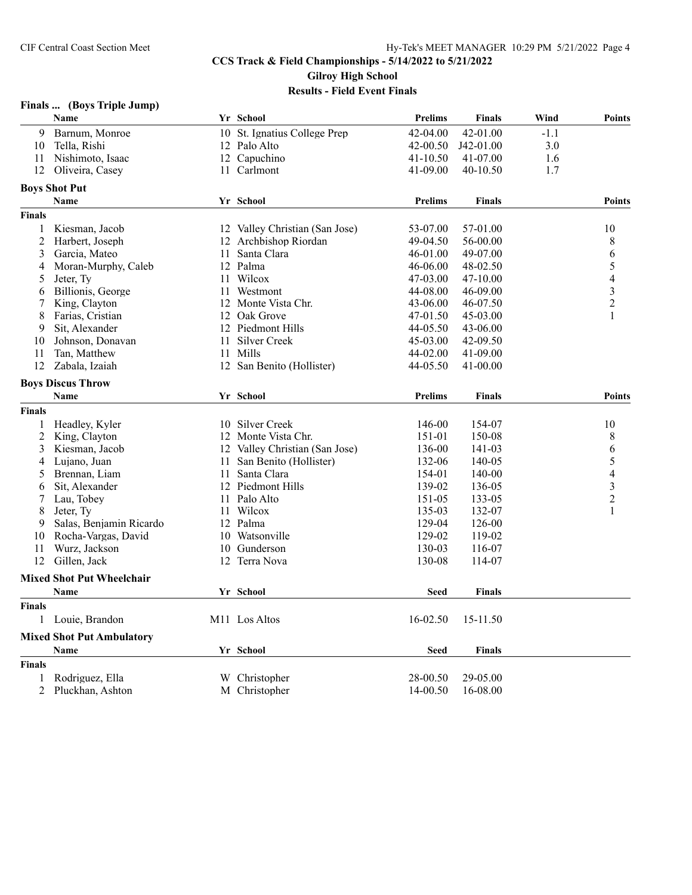## **Finals ... (Boys Triple Jump)**

|                | Name                             |    | Yr School                      | <b>Prelims</b> | <b>Finals</b> | Wind   | <b>Points</b>  |
|----------------|----------------------------------|----|--------------------------------|----------------|---------------|--------|----------------|
| 9              | Barnum, Monroe                   |    | 10 St. Ignatius College Prep   | 42-04.00       | 42-01.00      | $-1.1$ |                |
| 10             | Tella, Rishi                     |    | 12 Palo Alto                   | 42-00.50       | J42-01.00     | 3.0    |                |
| 11             | Nishimoto, Isaac                 |    | 12 Capuchino                   | 41-10.50       | 41-07.00      | 1.6    |                |
| 12             | Oliveira, Casey                  |    | 11 Carlmont                    | 41-09.00       | 40-10.50      | 1.7    |                |
|                | <b>Boys Shot Put</b>             |    |                                |                |               |        |                |
|                | Name                             |    | Yr School                      | <b>Prelims</b> | <b>Finals</b> |        | <b>Points</b>  |
| <b>Finals</b>  |                                  |    |                                |                |               |        |                |
| 1              | Kiesman, Jacob                   |    | 12 Valley Christian (San Jose) | 53-07.00       | 57-01.00      |        | 10             |
| $\overline{c}$ | Harbert, Joseph                  |    | 12 Archbishop Riordan          | 49-04.50       | 56-00.00      |        | 8              |
| 3              | Garcia, Mateo                    | 11 | Santa Clara                    | 46-01.00       | 49-07.00      |        | 6              |
| 4              | Moran-Murphy, Caleb              |    | 12 Palma                       | 46-06.00       | 48-02.50      |        | 5              |
| 5              | Jeter, Ty                        |    | 11 Wilcox                      | 47-03.00       | 47-10.00      |        | 4              |
| 6              | Billionis, George                | 11 | Westmont                       | 44-08.00       | 46-09.00      |        | $\mathfrak{Z}$ |
| 7              | King, Clayton                    |    | 12 Monte Vista Chr.            | 43-06.00       | 46-07.50      |        | $\overline{2}$ |
| 8              | Farias, Cristian                 | 12 | Oak Grove                      | 47-01.50       | 45-03.00      |        | 1              |
| 9              | Sit, Alexander                   |    | 12 Piedmont Hills              | 44-05.50       | 43-06.00      |        |                |
| 10             | Johnson, Donavan                 | 11 | Silver Creek                   | 45-03.00       | 42-09.50      |        |                |
| 11             | Tan, Matthew                     |    | 11 Mills                       | 44-02.00       | 41-09.00      |        |                |
| 12             | Zabala, Izaiah                   |    | 12 San Benito (Hollister)      | 44-05.50       | 41-00.00      |        |                |
|                |                                  |    |                                |                |               |        |                |
|                | <b>Boys Discus Throw</b>         |    |                                |                |               |        |                |
|                | Name                             |    | Yr School                      | <b>Prelims</b> | <b>Finals</b> |        | <b>Points</b>  |
| <b>Finals</b>  |                                  |    |                                |                |               |        |                |
| 1              | Headley, Kyler                   | 10 | Silver Creek                   | 146-00         | 154-07        |        | 10             |
| $\overline{2}$ | King, Clayton                    |    | 12 Monte Vista Chr.            | 151-01         | 150-08        |        | 8              |
| 3              | Kiesman, Jacob                   | 12 | Valley Christian (San Jose)    | 136-00         | 141-03        |        | 6              |
| 4              | Lujano, Juan                     | 11 | San Benito (Hollister)         | 132-06         | 140-05        |        | 5              |
| 5              | Brennan, Liam                    | 11 | Santa Clara                    | 154-01         | 140-00        |        | $\overline{4}$ |
| 6              | Sit, Alexander                   |    | 12 Piedmont Hills              | 139-02         | 136-05        |        | $\mathfrak{Z}$ |
| 7              | Lau, Tobey                       |    | 11 Palo Alto                   | 151-05         | 133-05        |        | $\overline{2}$ |
| 8              | Jeter, Ty                        | 11 | Wilcox                         | 135-03         | 132-07        |        | 1              |
| 9              | Salas, Benjamin Ricardo          |    | 12 Palma                       | 129-04         | 126-00        |        |                |
| 10             | Rocha-Vargas, David              | 10 | Watsonville                    | 129-02         | 119-02        |        |                |
| 11             | Wurz, Jackson                    | 10 | Gunderson                      | 130-03         | 116-07        |        |                |
| 12             | Gillen, Jack                     |    | 12 Terra Nova                  | 130-08         | 114-07        |        |                |
|                | <b>Mixed Shot Put Wheelchair</b> |    |                                |                |               |        |                |
|                | Name                             |    | Yr School                      | <b>Seed</b>    | <b>Finals</b> |        |                |
| <b>Finals</b>  |                                  |    |                                |                |               |        |                |
|                | 1 Louie, Brandon                 |    | M <sub>11</sub> Los Altos      | 16-02.50       | 15-11.50      |        |                |
|                | <b>Mixed Shot Put Ambulatory</b> |    |                                |                |               |        |                |
|                | <b>Name</b>                      |    | Yr School                      | <b>Seed</b>    | <b>Finals</b> |        |                |
| <b>Finals</b>  |                                  |    |                                |                |               |        |                |
| 1              | Rodriguez, Ella                  |    | W Christopher                  | 28-00.50       | 29-05.00      |        |                |
| 2              | Pluckhan, Ashton                 |    | M Christopher                  | 14-00.50       | 16-08.00      |        |                |
|                |                                  |    |                                |                |               |        |                |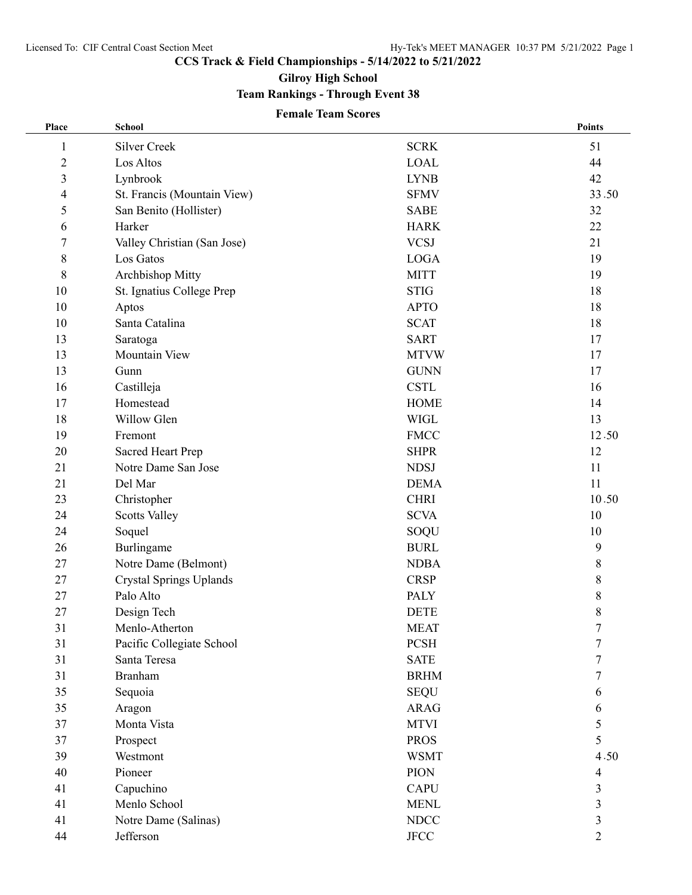**CCS Track & Field Championships - 5/14/2022 to 5/21/2022**

**Gilroy High School**

## **Team Rankings - Through Event 38**

## **Female Team Scores**

| Place          | School                         |               | Points         |
|----------------|--------------------------------|---------------|----------------|
| 1              | <b>Silver Creek</b>            | <b>SCRK</b>   | 51             |
| $\overline{c}$ | Los Altos                      | <b>LOAL</b>   | 44             |
| 3              | Lynbrook                       | <b>LYNB</b>   | 42             |
| 4              | St. Francis (Mountain View)    | <b>SFMV</b>   | 33.50          |
| 5              | San Benito (Hollister)         | <b>SABE</b>   | 32             |
| 6              | Harker                         | <b>HARK</b>   | 22             |
| 7              | Valley Christian (San Jose)    | <b>VCSJ</b>   | 21             |
| $8\,$          | Los Gatos                      | <b>LOGA</b>   | 19             |
| 8              | Archbishop Mitty               | <b>MITT</b>   | 19             |
| 10             | St. Ignatius College Prep      | <b>STIG</b>   | 18             |
| 10             | Aptos                          | <b>APTO</b>   | 18             |
| 10             | Santa Catalina                 | <b>SCAT</b>   | 18             |
| 13             | Saratoga                       | <b>SART</b>   | 17             |
| 13             | Mountain View                  | <b>MTVW</b>   | 17             |
| 13             | Gunn                           | <b>GUNN</b>   | 17             |
| 16             | Castilleja                     | <b>CSTL</b>   | 16             |
| 17             | Homestead                      | <b>HOME</b>   | 14             |
| 18             | Willow Glen                    | <b>WIGL</b>   | 13             |
| 19             | Fremont                        | <b>FMCC</b>   | 12.50          |
| 20             | Sacred Heart Prep              | <b>SHPR</b>   | 12             |
| 21             | Notre Dame San Jose            | <b>NDSJ</b>   | 11             |
| 21             | Del Mar                        | <b>DEMA</b>   | 11             |
| 23             | Christopher                    | <b>CHRI</b>   | 10.50          |
| 24             | <b>Scotts Valley</b>           | <b>SCVA</b>   | 10             |
| 24             | Soquel                         | SOQU          | 10             |
| 26             | Burlingame                     | <b>BURL</b>   | 9              |
| 27             | Notre Dame (Belmont)           | <b>NDBA</b>   | 8              |
| 27             | <b>Crystal Springs Uplands</b> | <b>CRSP</b>   | 8              |
| 27             | Palo Alto                      | <b>PALY</b>   | $\,$ 8 $\,$    |
| 27             | Design Tech                    | <b>DETE</b>   | 8              |
| 31             | Menlo-Atherton                 | <b>MEAT</b>   | 7              |
| 31             | Pacific Collegiate School      | <b>PCSH</b>   | 7              |
| 31             | Santa Teresa                   | <b>SATE</b>   | 7              |
| 31             | <b>Branham</b>                 | <b>BRHM</b>   | 7              |
| 35             | Sequoia                        | <b>SEQU</b>   | 6              |
| 35             | Aragon                         | <b>ARAG</b>   | 6              |
| 37             | Monta Vista                    | <b>MTVI</b>   | 5              |
| 37             | Prospect                       | <b>PROS</b>   | 5              |
| 39             | Westmont                       | <b>WSMT</b>   | 4.50           |
| 40             | Pioneer                        | <b>PION</b>   | 4              |
| 41             | Capuchino                      | <b>CAPU</b>   | 3              |
| 41             | Menlo School                   | <b>MENL</b>   | 3              |
| 41             | Notre Dame (Salinas)           | <b>NDCC</b>   | 3              |
| 44             | Jefferson                      | $_{\rm JFCC}$ | $\overline{2}$ |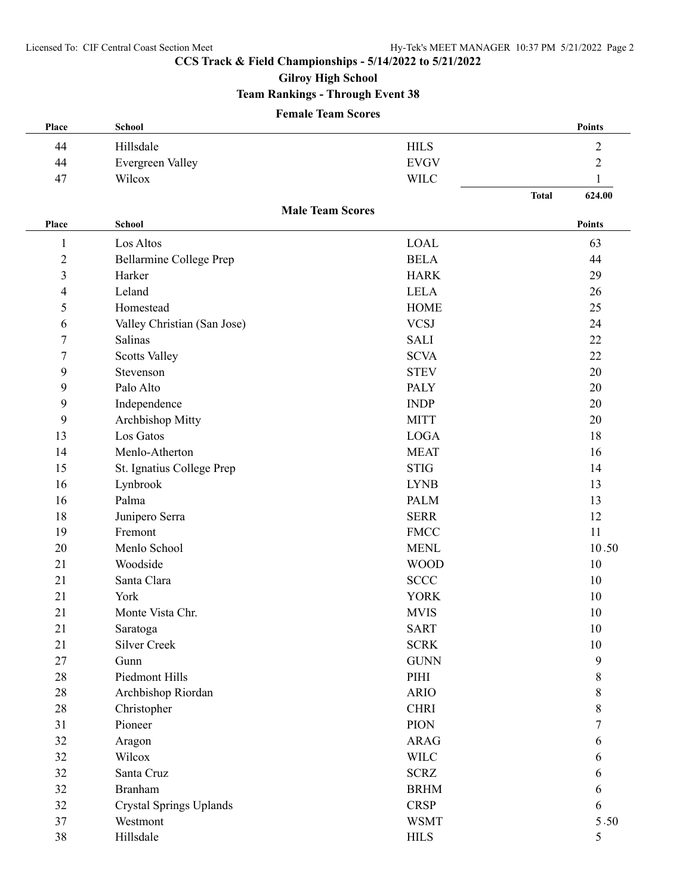**CCS Track & Field Championships - 5/14/2022 to 5/21/2022**

**Gilroy High School**

## **Team Rankings - Through Event 38**

## **Female Team Scores**

| Place            | <b>School</b>               |                         | Points                 |
|------------------|-----------------------------|-------------------------|------------------------|
| 44               | Hillsdale                   | <b>HILS</b>             | $\mathfrak{2}$         |
| 44               | Evergreen Valley            | <b>EVGV</b>             | $\mathfrak{2}$         |
| 47               | Wilcox                      | <b>WILC</b>             | 1                      |
|                  |                             |                         | <b>Total</b><br>624.00 |
| Place            | <b>School</b>               | <b>Male Team Scores</b> | Points                 |
| $\mathbf{1}$     | Los Altos                   | <b>LOAL</b>             | 63                     |
| $\overline{c}$   | Bellarmine College Prep     | <b>BELA</b>             | 44                     |
| 3                | Harker                      | <b>HARK</b>             | 29                     |
| 4                | Leland                      | <b>LELA</b>             | 26                     |
| 5                | Homestead                   | <b>HOME</b>             | 25                     |
| 6                | Valley Christian (San Jose) | <b>VCSJ</b>             | 24                     |
| $\overline{7}$   | Salinas                     | <b>SALI</b>             | 22                     |
| $\boldsymbol{7}$ | <b>Scotts Valley</b>        | <b>SCVA</b>             | 22                     |
| 9                | Stevenson                   | <b>STEV</b>             | 20                     |
| 9                | Palo Alto                   | <b>PALY</b>             | 20                     |
| 9                | Independence                | <b>INDP</b>             | 20                     |
| 9                | Archbishop Mitty            | <b>MITT</b>             | 20                     |
| 13               | Los Gatos                   | <b>LOGA</b>             | 18                     |
| 14               | Menlo-Atherton              | <b>MEAT</b>             | 16                     |
| 15               | St. Ignatius College Prep   | <b>STIG</b>             | 14                     |
| 16               | Lynbrook                    | <b>LYNB</b>             | 13                     |
| 16               | Palma                       | <b>PALM</b>             | 13                     |
| 18               | Junipero Serra              | <b>SERR</b>             | 12                     |
| 19               | Fremont                     | <b>FMCC</b>             | 11                     |
| 20               | Menlo School                | <b>MENL</b>             | 10.50                  |
| 21               | Woodside                    | <b>WOOD</b>             | 10                     |
| 21               | Santa Clara                 | <b>SCCC</b>             | 10                     |
| 21               | York                        | <b>YORK</b>             | 10                     |
| 21               | Monte Vista Chr.            | <b>MVIS</b>             | 10                     |
| 21               | Saratoga                    | <b>SART</b>             | 10                     |
| 21               | Silver Creek                | <b>SCRK</b>             | 10                     |
| 27               | Gunn                        | <b>GUNN</b>             | 9                      |
| 28               | Piedmont Hills              | PIHI                    | 8                      |
| 28               | Archbishop Riordan          | <b>ARIO</b>             | 8                      |
| 28               | Christopher                 | <b>CHRI</b>             | 8                      |
| 31               | Pioneer                     | <b>PION</b>             | 7                      |
| 32               | Aragon                      | <b>ARAG</b>             | 6                      |
| 32               | Wilcox                      | <b>WILC</b>             | 6                      |
| 32               | Santa Cruz                  | <b>SCRZ</b>             | 6                      |
| 32               | <b>Branham</b>              | <b>BRHM</b>             | 6                      |
| 32               | Crystal Springs Uplands     | <b>CRSP</b>             | 6                      |
| 37               | Westmont                    | <b>WSMT</b>             | 5.50                   |
| 38               | Hillsdale                   | ${\rm HILS}$            | $\mathfrak{S}$         |